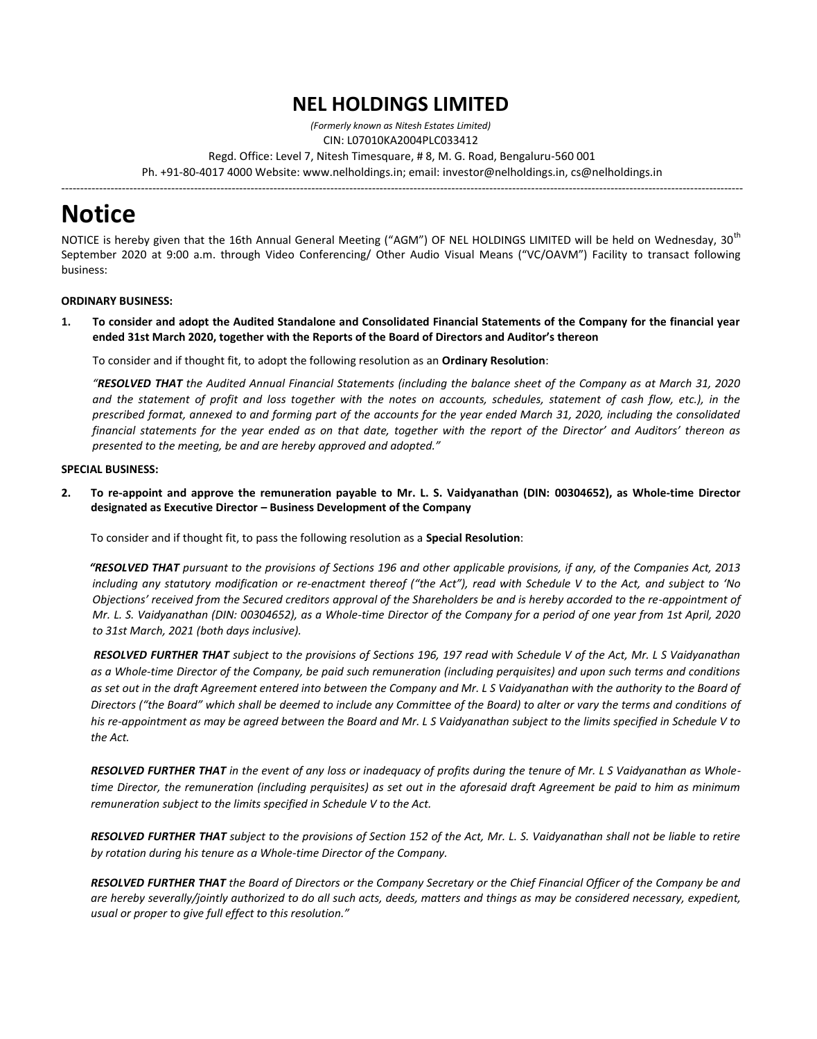# **NEL HOLDINGS LIMITED**

*(Formerly known as Nitesh Estates Limited)* 

CIN: L07010KA2004PLC033412

Regd. Office: Level 7, Nitesh Timesquare, # 8, M. G. Road, Bengaluru-560 001

------------------------------------------------------------------------------------------------------------------------------------------------------------------------------------

Ph. +91-80-4017 4000 Website: www.nelholdings.in; email: [investor@nelholdings.in,](mailto:investor@nelholdings.in) cs@nelholdings.in

# **Notice**

NOTICE is hereby given that the 16th Annual General Meeting ("AGM") OF NEL HOLDINGS LIMITED will be held on Wednesday, 30<sup>th</sup> September 2020 at 9:00 a.m. through Video Conferencing/ Other Audio Visual Means ("VC/OAVM") Facility to transact following business:

### **ORDINARY BUSINESS:**

**1. To consider and adopt the Audited Standalone and Consolidated Financial Statements of the Company for the financial year ended 31st March 2020, together with the Reports of the Board of Directors and Auditor's thereon** 

To consider and if thought fit, to adopt the following resolution as an **Ordinary Resolution**:

*"RESOLVED THAT the Audited Annual Financial Statements (including the balance sheet of the Company as at March 31, 2020 and the statement of profit and loss together with the notes on accounts, schedules, statement of cash flow, etc.), in the prescribed format, annexed to and forming part of the accounts for the year ended March 31, 2020, including the consolidated financial statements for the year ended as on that date, together with the report of the Director' and Auditors' thereon as presented to the meeting, be and are hereby approved and adopted."*

#### **SPECIAL BUSINESS:**

**2. To re-appoint and approve the remuneration payable to Mr. L. S. Vaidyanathan (DIN: 00304652), as Whole-time Director designated as Executive Director – Business Development of the Company**

To consider and if thought fit, to pass the following resolution as a **Special Resolution**:

 *"RESOLVED THAT pursuant to the provisions of Sections 196 and other applicable provisions, if any, of the Companies Act, 2013 including any statutory modification or re-enactment thereof ("the Act"), read with Schedule V to the Act, and subject to 'No Objections' received from the Secured creditors approval of the Shareholders be and is hereby accorded to the re-appointment of Mr. L. S. Vaidyanathan (DIN: 00304652), as a Whole-time Director of the Company for a period of one year from 1st April, 2020 to 31st March, 2021 (both days inclusive).* 

*RESOLVED FURTHER THAT subject to the provisions of Sections 196, 197 read with Schedule V of the Act, Mr. L S Vaidyanathan as a Whole-time Director of the Company, be paid such remuneration (including perquisites) and upon such terms and conditions as set out in the draft Agreement entered into between the Company and Mr. L S Vaidyanathan with the authority to the Board of Directors ("the Board" which shall be deemed to include any Committee of the Board) to alter or vary the terms and conditions of his re-appointment as may be agreed between the Board and Mr. L S Vaidyanathan subject to the limits specified in Schedule V to the Act.* 

*RESOLVED FURTHER THAT in the event of any loss or inadequacy of profits during the tenure of Mr. L S Vaidyanathan as Wholetime Director, the remuneration (including perquisites) as set out in the aforesaid draft Agreement be paid to him as minimum remuneration subject to the limits specified in Schedule V to the Act.* 

*RESOLVED FURTHER THAT subject to the provisions of Section 152 of the Act, Mr. L. S. Vaidyanathan shall not be liable to retire by rotation during his tenure as a Whole-time Director of the Company.* 

*RESOLVED FURTHER THAT the Board of Directors or the Company Secretary or the Chief Financial Officer of the Company be and are hereby severally/jointly authorized to do all such acts, deeds, matters and things as may be considered necessary, expedient, usual or proper to give full effect to this resolution."*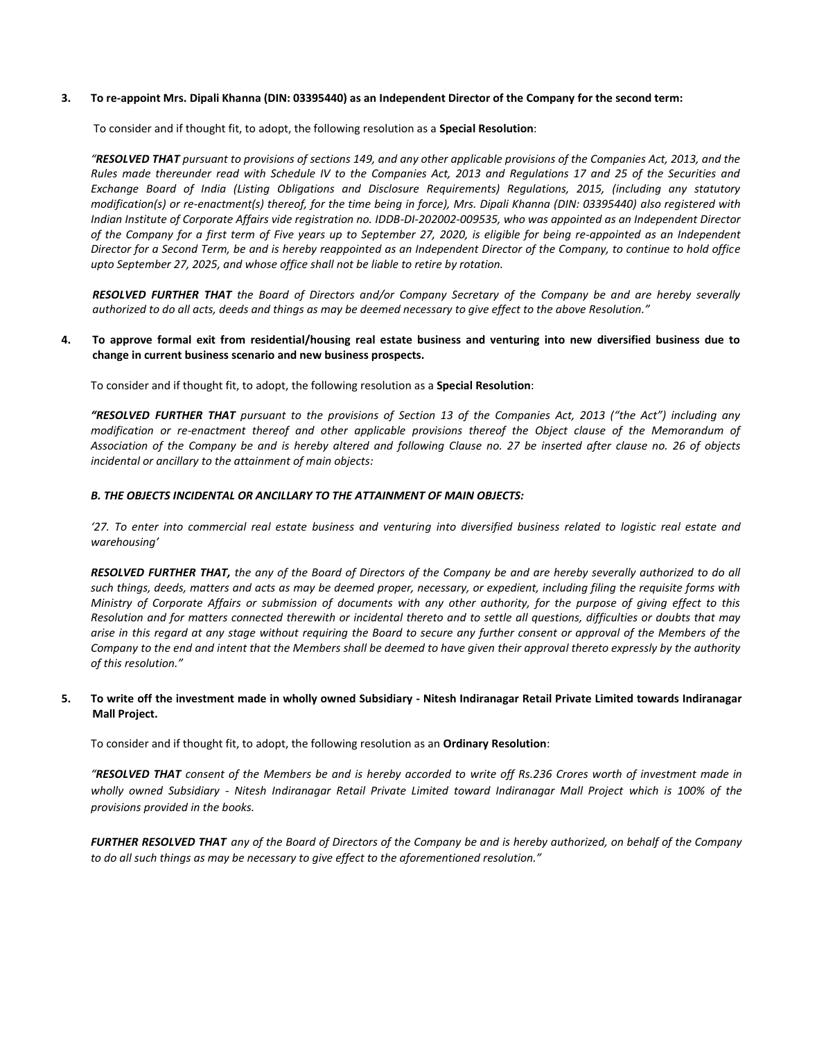#### **3. To re-appoint Mrs. Dipali Khanna (DIN: 03395440) as an Independent Director of the Company for the second term:**

To consider and if thought fit, to adopt, the following resolution as a **Special Resolution**:

*"RESOLVED THAT pursuant to provisions of sections 149, and any other applicable provisions of the Companies Act, 2013, and the Rules made thereunder read with Schedule IV to the Companies Act, 2013 and Regulations 17 and 25 of the Securities and Exchange Board of India (Listing Obligations and Disclosure Requirements) Regulations, 2015, (including any statutory modification(s) or re-enactment(s) thereof, for the time being in force), Mrs. Dipali Khanna (DIN: 03395440) also registered with Indian Institute of Corporate Affairs vide registration no. IDDB-DI-202002-009535, who was appointed as an Independent Director of the Company for a first term of Five years up to September 27, 2020, is eligible for being re-appointed as an Independent Director for a Second Term, be and is hereby reappointed as an Independent Director of the Company, to continue to hold office upto September 27, 2025, and whose office shall not be liable to retire by rotation.*

*RESOLVED FURTHER THAT the Board of Directors and/or Company Secretary of the Company be and are hereby severally authorized to do all acts, deeds and things as may be deemed necessary to give effect to the above Resolution."*

#### **4. To approve formal exit from residential/housing real estate business and venturing into new diversified business due to change in current business scenario and new business prospects.**

To consider and if thought fit, to adopt, the following resolution as a **Special Resolution**:

*"RESOLVED FURTHER THAT pursuant to the provisions of Section 13 of the Companies Act, 2013 ("the Act") including any modification or re-enactment thereof and other applicable provisions thereof the Object clause of the Memorandum of Association of the Company be and is hereby altered and following Clause no. 27 be inserted after clause no. 26 of objects incidental or ancillary to the attainment of main objects:*

#### *B. THE OBJECTS INCIDENTAL OR ANCILLARY TO THE ATTAINMENT OF MAIN OBJECTS:*

*'27. To enter into commercial real estate business and venturing into diversified business related to logistic real estate and warehousing'*

*RESOLVED FURTHER THAT, the any of the Board of Directors of the Company be and are hereby severally authorized to do all such things, deeds, matters and acts as may be deemed proper, necessary, or expedient, including filing the requisite forms with Ministry of Corporate Affairs or submission of documents with any other authority, for the purpose of giving effect to this Resolution and for matters connected therewith or incidental thereto and to settle all questions, difficulties or doubts that may arise in this regard at any stage without requiring the Board to secure any further consent or approval of the Members of the Company to the end and intent that the Members shall be deemed to have given their approval thereto expressly by the authority of this resolution."*

#### **5. To write off the investment made in wholly owned Subsidiary - Nitesh Indiranagar Retail Private Limited towards Indiranagar Mall Project.**

To consider and if thought fit, to adopt, the following resolution as an **Ordinary Resolution**:

*"RESOLVED THAT consent of the Members be and is hereby accorded to write off Rs.236 Crores worth of investment made in wholly owned Subsidiary - Nitesh Indiranagar Retail Private Limited toward Indiranagar Mall Project which is 100% of the provisions provided in the books.*

*FURTHER RESOLVED THAT any of the Board of Directors of the Company be and is hereby authorized, on behalf of the Company to do all such things as may be necessary to give effect to the aforementioned resolution."*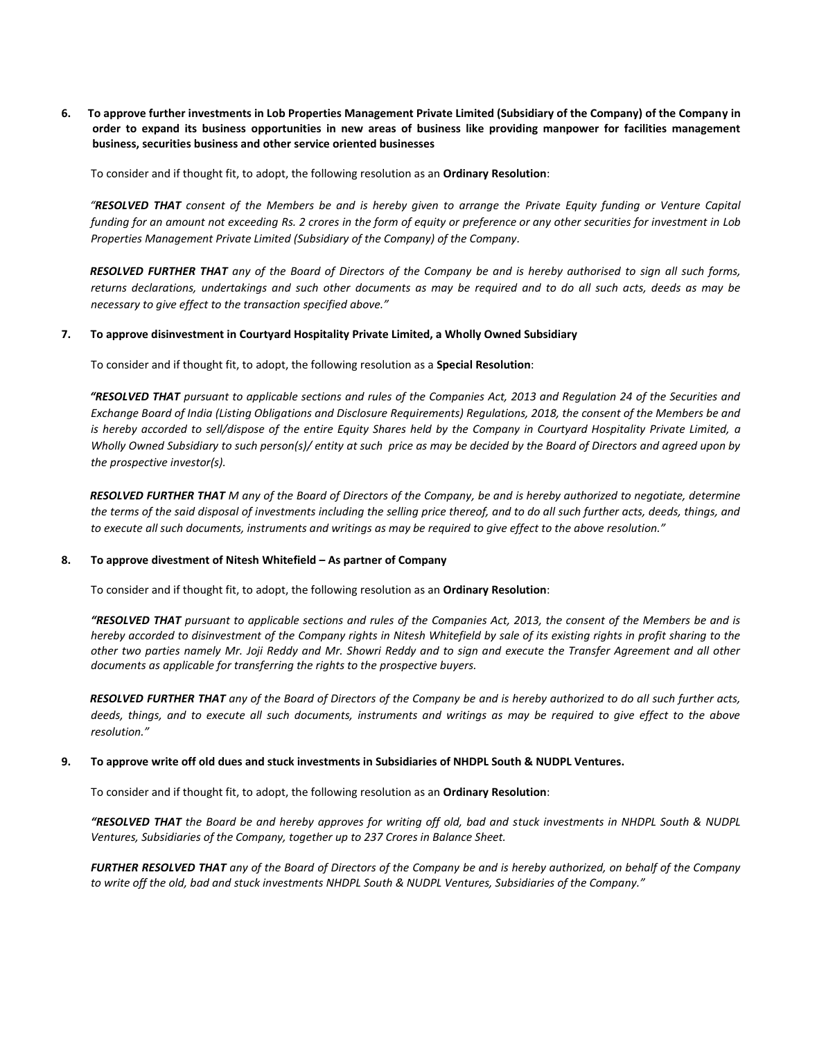**6. To approve further investments in Lob Properties Management Private Limited (Subsidiary of the Company) of the Company in order to expand its business opportunities in new areas of business like providing manpower for facilities management business, securities business and other service oriented businesses**

To consider and if thought fit, to adopt, the following resolution as an **Ordinary Resolution**:

*"RESOLVED THAT consent of the Members be and is hereby given to arrange the Private Equity funding or Venture Capital funding for an amount not exceeding Rs. 2 crores in the form of equity or preference or any other securities for investment in Lob Properties Management Private Limited (Subsidiary of the Company) of the Company.*

*RESOLVED FURTHER THAT any of the Board of Directors of the Company be and is hereby authorised to sign all such forms, returns declarations, undertakings and such other documents as may be required and to do all such acts, deeds as may be necessary to give effect to the transaction specified above."*

#### **7. To approve disinvestment in Courtyard Hospitality Private Limited, a Wholly Owned Subsidiary**

To consider and if thought fit, to adopt, the following resolution as a **Special Resolution**:

*"RESOLVED THAT pursuant to applicable sections and rules of the Companies Act, 2013 and Regulation 24 of the Securities and Exchange Board of India (Listing Obligations and Disclosure Requirements) Regulations, 2018, the consent of the Members be and is hereby accorded to sell/dispose of the entire Equity Shares held by the Company in Courtyard Hospitality Private Limited, a Wholly Owned Subsidiary to such person(s)/ entity at such price as may be decided by the Board of Directors and agreed upon by the prospective investor(s).*

*RESOLVED FURTHER THAT M any of the Board of Directors of the Company, be and is hereby authorized to negotiate, determine the terms of the said disposal of investments including the selling price thereof, and to do all such further acts, deeds, things, and to execute all such documents, instruments and writings as may be required to give effect to the above resolution."*

#### **8. To approve divestment of Nitesh Whitefield – As partner of Company**

To consider and if thought fit, to adopt, the following resolution as an **Ordinary Resolution**:

*"RESOLVED THAT pursuant to applicable sections and rules of the Companies Act, 2013, the consent of the Members be and is hereby accorded to disinvestment of the Company rights in Nitesh Whitefield by sale of its existing rights in profit sharing to the other two parties namely Mr. Joji Reddy and Mr. Showri Reddy and to sign and execute the Transfer Agreement and all other documents as applicable for transferring the rights to the prospective buyers.*

*RESOLVED FURTHER THAT any of the Board of Directors of the Company be and is hereby authorized to do all such further acts, deeds, things, and to execute all such documents, instruments and writings as may be required to give effect to the above resolution."*

#### **9. To approve write off old dues and stuck investments in Subsidiaries of NHDPL South & NUDPL Ventures.**

To consider and if thought fit, to adopt, the following resolution as an **Ordinary Resolution**:

*"RESOLVED THAT the Board be and hereby approves for writing off old, bad and stuck investments in NHDPL South & NUDPL Ventures, Subsidiaries of the Company, together up to 237 Crores in Balance Sheet.*

*FURTHER RESOLVED THAT any of the Board of Directors of the Company be and is hereby authorized, on behalf of the Company to write off the old, bad and stuck investments NHDPL South & NUDPL Ventures, Subsidiaries of the Company."*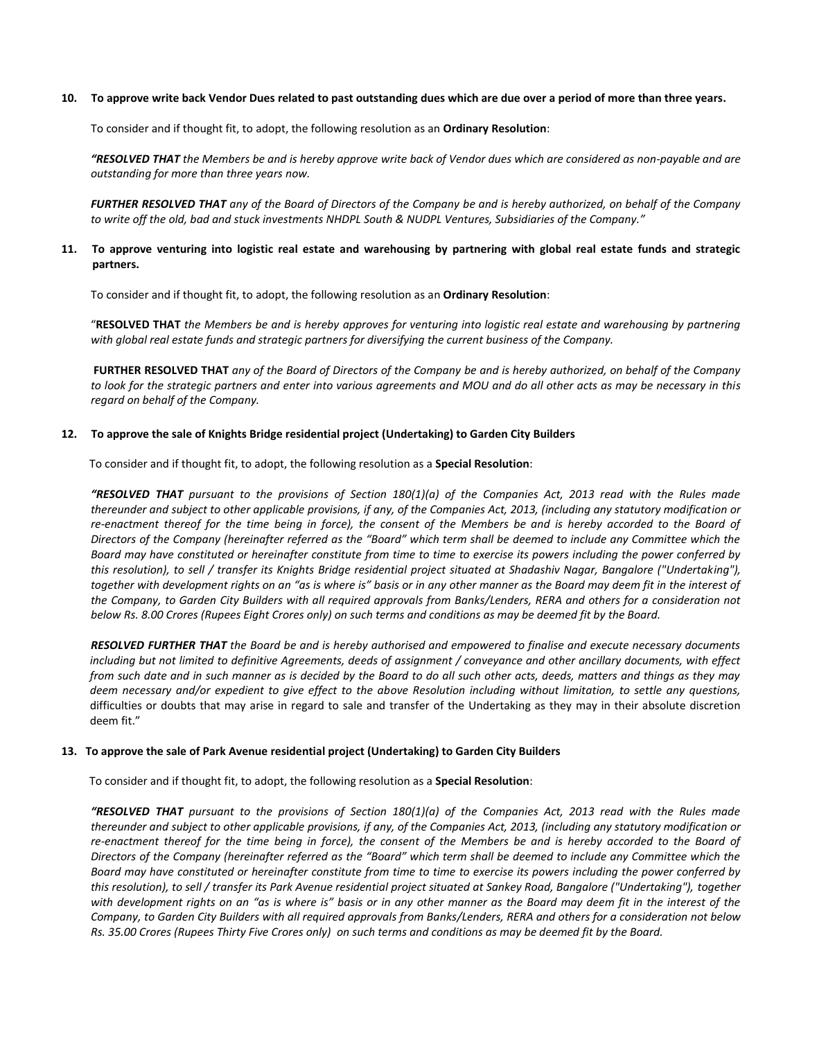#### **10. To approve write back Vendor Dues related to past outstanding dues which are due over a period of more than three years.**

To consider and if thought fit, to adopt, the following resolution as an **Ordinary Resolution**:

*"RESOLVED THAT the Members be and is hereby approve write back of Vendor dues which are considered as non-payable and are outstanding for more than three years now.*

*FURTHER RESOLVED THAT any of the Board of Directors of the Company be and is hereby authorized, on behalf of the Company to write off the old, bad and stuck investments NHDPL South & NUDPL Ventures, Subsidiaries of the Company."*

#### **11. To approve venturing into logistic real estate and warehousing by partnering with global real estate funds and strategic partners.**

To consider and if thought fit, to adopt, the following resolution as an **Ordinary Resolution**:

"**RESOLVED THAT** *the Members be and is hereby approves for venturing into logistic real estate and warehousing by partnering with global real estate funds and strategic partners for diversifying the current business of the Company.*

**FURTHER RESOLVED THAT** *any of the Board of Directors of the Company be and is hereby authorized, on behalf of the Company to look for the strategic partners and enter into various agreements and MOU and do all other acts as may be necessary in this regard on behalf of the Company.*

#### **12. To approve the sale of Knights Bridge residential project (Undertaking) to Garden City Builders**

To consider and if thought fit, to adopt, the following resolution as a **Special Resolution**:

*"RESOLVED THAT pursuant to the provisions of Section 180(1)(a) of the Companies Act, 2013 read with the Rules made thereunder and subject to other applicable provisions, if any, of the Companies Act, 2013, (including any statutory modification or*  re-enactment thereof for the time being in force), the consent of the Members be and is hereby accorded to the Board of *Directors of the Company (hereinafter referred as the "Board" which term shall be deemed to include any Committee which the Board may have constituted or hereinafter constitute from time to time to exercise its powers including the power conferred by this resolution), to sell / transfer its Knights Bridge residential project situated at Shadashiv Nagar, Bangalore ("Undertaking"), together with development rights on an "as is where is" basis or in any other manner as the Board may deem fit in the interest of the Company, to Garden City Builders with all required approvals from Banks/Lenders, RERA and others for a consideration not below Rs. 8.00 Crores (Rupees Eight Crores only) on such terms and conditions as may be deemed fit by the Board.* 

*RESOLVED FURTHER THAT the Board be and is hereby authorised and empowered to finalise and execute necessary documents including but not limited to definitive Agreements, deeds of assignment / conveyance and other ancillary documents, with effect from such date and in such manner as is decided by the Board to do all such other acts, deeds, matters and things as they may deem necessary and/or expedient to give effect to the above Resolution including without limitation, to settle any questions,* difficulties or doubts that may arise in regard to sale and transfer of the Undertaking as they may in their absolute discretion deem fit."

#### **13. To approve the sale of Park Avenue residential project (Undertaking) to Garden City Builders**

To consider and if thought fit, to adopt, the following resolution as a **Special Resolution**:

*"RESOLVED THAT pursuant to the provisions of Section 180(1)(a) of the Companies Act, 2013 read with the Rules made thereunder and subject to other applicable provisions, if any, of the Companies Act, 2013, (including any statutory modification or*  re-enactment thereof for the time being in force), the consent of the Members be and is hereby accorded to the Board of *Directors of the Company (hereinafter referred as the "Board" which term shall be deemed to include any Committee which the Board may have constituted or hereinafter constitute from time to time to exercise its powers including the power conferred by this resolution), to sell / transfer its Park Avenue residential project situated at Sankey Road, Bangalore ("Undertaking"), together with development rights on an "as is where is" basis or in any other manner as the Board may deem fit in the interest of the Company, to Garden City Builders with all required approvals from Banks/Lenders, RERA and others for a consideration not below Rs. 35.00 Crores (Rupees Thirty Five Crores only) on such terms and conditions as may be deemed fit by the Board.*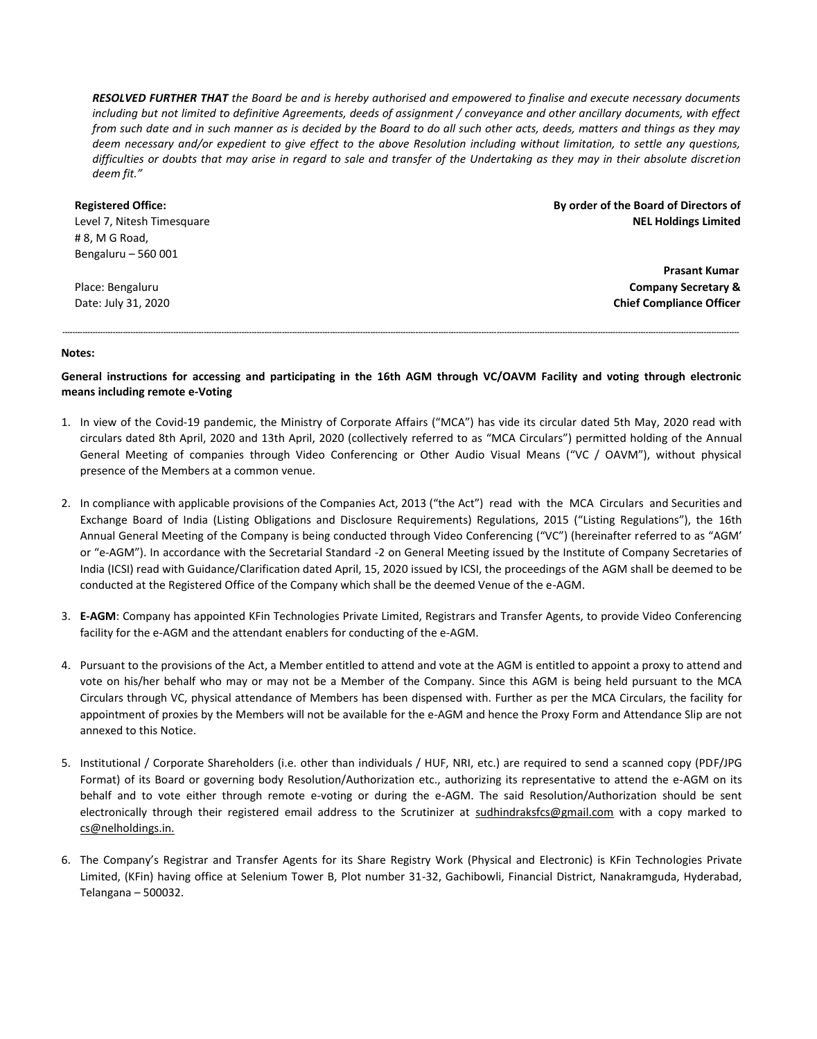*RESOLVED FURTHER THAT the Board be and is hereby authorised and empowered to finalise and execute necessary documents including but not limited to definitive Agreements, deeds of assignment / conveyance and other ancillary documents, with effect from such date and in such manner as is decided by the Board to do all such other acts, deeds, matters and things as they may deem necessary and/or expedient to give effect to the above Resolution including without limitation, to settle any questions, difficulties or doubts that may arise in regard to sale and transfer of the Undertaking as they may in their absolute discretion deem fit."*

# **Registered Office:** Level 7, Nitesh Timesquare

# 8, M G Road, Bengaluru – 560 001

Place: Bengaluru Date: July 31, 2020 **By order of the Board of Directors of NEL Holdings Limited** 

> **Prasant Kumar Company Secretary & Chief Compliance Officer**

#### **Notes:**

**General instructions for accessing and participating in the 16th AGM through VC/OAVM Facility and voting through electronic means including remote e-Voting**

**----------------------------------------------------------------------------------------------------------------------------------------------------------------------------------------------------------------------------------------------------------------------------**

- 1. In view of the Covid-19 pandemic, the Ministry of Corporate Affairs ("MCA") has vide its circular dated 5th May, 2020 read with circulars dated 8th April, 2020 and 13th April, 2020 (collectively referred to as "MCA Circulars") permitted holding of the Annual General Meeting of companies through Video Conferencing or Other Audio Visual Means ("VC / OAVM"), without physical presence of the Members at a common venue.
- 2. In compliance with applicable provisions of the Companies Act, 2013 ("the Act") read with the MCA Circulars and Securities and Exchange Board of India (Listing Obligations and Disclosure Requirements) Regulations, 2015 ("Listing Regulations"), the 16th Annual General Meeting of the Company is being conducted through Video Conferencing ("VC") (hereinafter referred to as "AGM' or "e-AGM"). In accordance with the Secretarial Standard -2 on General Meeting issued by the Institute of Company Secretaries of India (ICSI) read with Guidance/Clarification dated April, 15, 2020 issued by ICSI, the proceedings of the AGM shall be deemed to be conducted at the Registered Office of the Company which shall be the deemed Venue of the e-AGM.
- 3. **E-AGM**: Company has appointed KFin Technologies Private Limited, Registrars and Transfer Agents, to provide Video Conferencing facility for the e-AGM and the attendant enablers for conducting of the e-AGM.
- 4. Pursuant to the provisions of the Act, a Member entitled to attend and vote at the AGM is entitled to appoint a proxy to attend and vote on his/her behalf who may or may not be a Member of the Company. Since this AGM is being held pursuant to the MCA Circulars through VC, physical attendance of Members has been dispensed with. Further as per the MCA Circulars, the facility for appointment of proxies by the Members will not be available for the e-AGM and hence the Proxy Form and Attendance Slip are not annexed to this Notice.
- 5. Institutional / Corporate Shareholders (i.e. other than individuals / HUF, NRI, etc.) are required to send a scanned copy (PDF/JPG Format) of its Board or governing body Resolution/Authorization etc., authorizing its representative to attend the e-AGM on its behalf and to vote either through remote e-voting or during the e-AGM. The said Resolution/Authorization should be sent electronically through their registered email address to the Scrutinizer at sudhindraksfcs@gmail.com with a copy marked to [cs@nelholdings.in.](mailto:cs@nelholdings.in)
- 6. The Company's Registrar and Transfer Agents for its Share Registry Work (Physical and Electronic) is KFin Technologies Private Limited, (KFin) having office at Selenium Tower B, Plot number 31-32, Gachibowli, Financial District, Nanakramguda, Hyderabad, Telangana – 500032.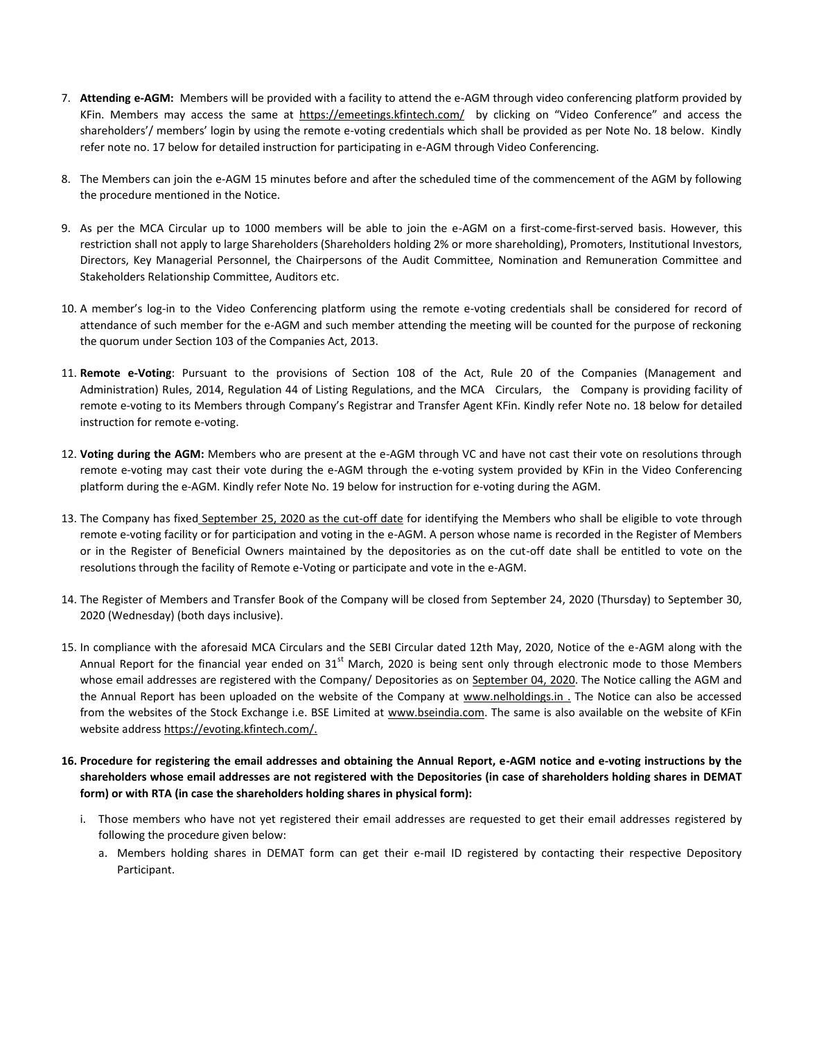- 7. **Attending e-AGM:** Members will be provided with a facility to attend the e-AGM through video conferencing platform provided by KFin. Members may access the same at <https://emeetings.kfintech.com/>by clicking on "Video Conference" and access the shareholders'/ members' login by using the remote e-voting credentials which shall be provided as per Note No. 18 below. Kindly refer note no. 17 below for detailed instruction for participating in e-AGM through Video Conferencing.
- 8. The Members can join the e-AGM 15 minutes before and after the scheduled time of the commencement of the AGM by following the procedure mentioned in the Notice.
- 9. As per the MCA Circular up to 1000 members will be able to join the e-AGM on a first-come-first-served basis. However, this restriction shall not apply to large Shareholders (Shareholders holding 2% or more shareholding), Promoters, Institutional Investors, Directors, Key Managerial Personnel, the Chairpersons of the Audit Committee, Nomination and Remuneration Committee and Stakeholders Relationship Committee, Auditors etc.
- 10. A member's log-in to the Video Conferencing platform using the remote e-voting credentials shall be considered for record of attendance of such member for the e-AGM and such member attending the meeting will be counted for the purpose of reckoning the quorum under Section 103 of the Companies Act, 2013.
- 11. **Remote e-Voting**: Pursuant to the provisions of Section 108 of the Act, Rule 20 of the Companies (Management and Administration) Rules, 2014, Regulation 44 of Listing Regulations, and the MCA Circulars, the Company is providing facility of remote e-voting to its Members through Company's Registrar and Transfer Agent KFin. Kindly refer Note no. 18 below for detailed instruction for remote e-voting.
- 12. **Voting during the AGM:** Members who are present at the e-AGM through VC and have not cast their vote on resolutions through remote e-voting may cast their vote during the e-AGM through the e-voting system provided by KFin in the Video Conferencing platform during the e-AGM. Kindly refer Note No. 19 below for instruction for e-voting during the AGM.
- 13. The Company has fixed September 25, 2020 as the cut-off date for identifying the Members who shall be eligible to vote through remote e-voting facility or for participation and voting in the e-AGM. A person whose name is recorded in the Register of Members or in the Register of Beneficial Owners maintained by the depositories as on the cut-off date shall be entitled to vote on the resolutions through the facility of Remote e-Voting or participate and vote in the e-AGM.
- 14. The Register of Members and Transfer Book of the Company will be closed from September 24, 2020 (Thursday) to September 30, 2020 (Wednesday) (both days inclusive).
- 15. In compliance with the aforesaid MCA Circulars and the SEBI Circular dated 12th May, 2020, Notice of the e-AGM along with the Annual Report for the financial year ended on  $31<sup>st</sup>$  March, 2020 is being sent only through electronic mode to those Members whose email addresses are registered with the Company/ Depositories as on September 04, 2020. The Notice calling the AGM and the Annual Report has been uploaded on the website of the Company at [www.nelholdings.in](http://www.nelholdings.in/) . The Notice can also be accessed from the websites of the Stock Exchange i.e. BSE Limited at [www.bseindia.com.](http://www.bseindia.com/) The same is also available on the website of KFin website addres[s https://evoting.kfintech.com/.](https://evoting.kfintech.com/)
- **16. Procedure for registering the email addresses and obtaining the Annual Report, e-AGM notice and e-voting instructions by the shareholders whose email addresses are not registered with the Depositories (in case of shareholders holding shares in DEMAT form) or with RTA (in case the shareholders holding shares in physical form):**
	- i. Those members who have not yet registered their email addresses are requested to get their email addresses registered by following the procedure given below:
		- a. Members holding shares in DEMAT form can get their e-mail ID registered by contacting their respective Depository Participant.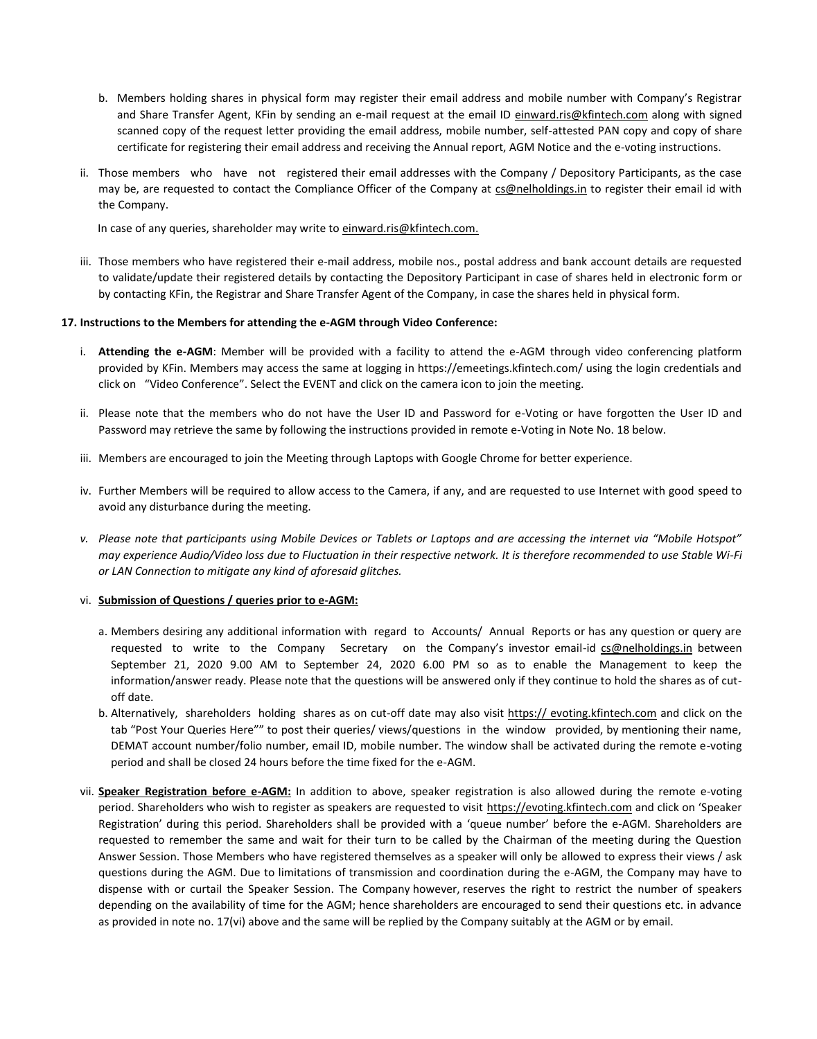- b. Members holding shares in physical form may register their email address and mobile number with Company's Registrar and Share Transfer Agent, KFin by sending an e-mail request at the email ID einward.ris@kfintech.com along with signed scanned copy of the request letter providing the email address, mobile number, self-attested PAN copy and copy of share certificate for registering their email address and receiving the Annual report, AGM Notice and the e-voting instructions.
- ii. Those members who have not registered their email addresses with the Company / Depository Participants, as the case may be, are requested to contact the Compliance Officer of the Company at [cs@nelholdings.in](mailto:cs@nelholdings.in) to register their email id with the Company.

In case of any queries, shareholder may write to [einward.ris@kfintech.com.](mailto:einward.ris@kfintech.com)

iii. Those members who have registered their e-mail address, mobile nos., postal address and bank account details are requested to validate/update their registered details by contacting the Depository Participant in case of shares held in electronic form or by contacting KFin, the Registrar and Share Transfer Agent of the Company, in case the shares held in physical form.

#### **17. Instructions to the Members for attending the e-AGM through Video Conference:**

- i. **Attending the e-AGM**: Member will be provided with a facility to attend the e-AGM through video conferencing platform provided by KFin. Members may access the same at logging in https://emeetings.kfintech.com/ using the login credentials and click on "Video Conference". Select the EVENT and click on the camera icon to join the meeting.
- ii. Please note that the members who do not have the User ID and Password for e-Voting or have forgotten the User ID and Password may retrieve the same by following the instructions provided in remote e-Voting in Note No. 18 below.
- iii. Members are encouraged to join the Meeting through Laptops with Google Chrome for better experience.
- iv. Further Members will be required to allow access to the Camera, if any, and are requested to use Internet with good speed to avoid any disturbance during the meeting.
- *v. Please note that participants using Mobile Devices or Tablets or Laptops and are accessing the internet via "Mobile Hotspot" may experience Audio/Video loss due to Fluctuation in their respective network. It is therefore recommended to use Stable Wi-Fi or LAN Connection to mitigate any kind of aforesaid glitches.*

#### vi. **Submission of Questions / queries prior to e-AGM:**

- a. Members desiring any additional information with regard to Accounts/ Annual Reports or has any question or query are requested to write to the Company Secretary on the Company's investor email-id [cs@nelholdings.in](mailto:cs@nelholdings.in) between September 21, 2020 9.00 AM to September 24, 2020 6.00 PM so as to enable the Management to keep the information/answer ready. Please note that the questions will be answered only if they continue to hold the shares as of cutoff date.
- b. Alternatively, shareholders holding shares as on cut-off date may also visit https:// evoting.kfintech.com and click on the tab "Post Your Queries Here"" to post their queries/ views/questions in the window provided, by mentioning their name, DEMAT account number/folio number, email ID, mobile number. The window shall be activated during the remote e-voting period and shall be closed 24 hours before the time fixed for the e-AGM.
- vii. **Speaker Registration before e-AGM:** In addition to above, speaker registration is also allowed during the remote e-voting period. Shareholders who wish to register as speakers are requested to visit https://evoting.kfintech.com and click on 'Speaker Registration' during this period. Shareholders shall be provided with a 'queue number' before the e-AGM. Shareholders are requested to remember the same and wait for their turn to be called by the Chairman of the meeting during the Question Answer Session. Those Members who have registered themselves as a speaker will only be allowed to express their views / ask questions during the AGM. Due to limitations of transmission and coordination during the e-AGM, the Company may have to dispense with or curtail the Speaker Session. The Company however, reserves the right to restrict the number of speakers depending on the availability of time for the AGM; hence shareholders are encouraged to send their questions etc. in advance as provided in note no. 17(vi) above and the same will be replied by the Company suitably at the AGM or by email.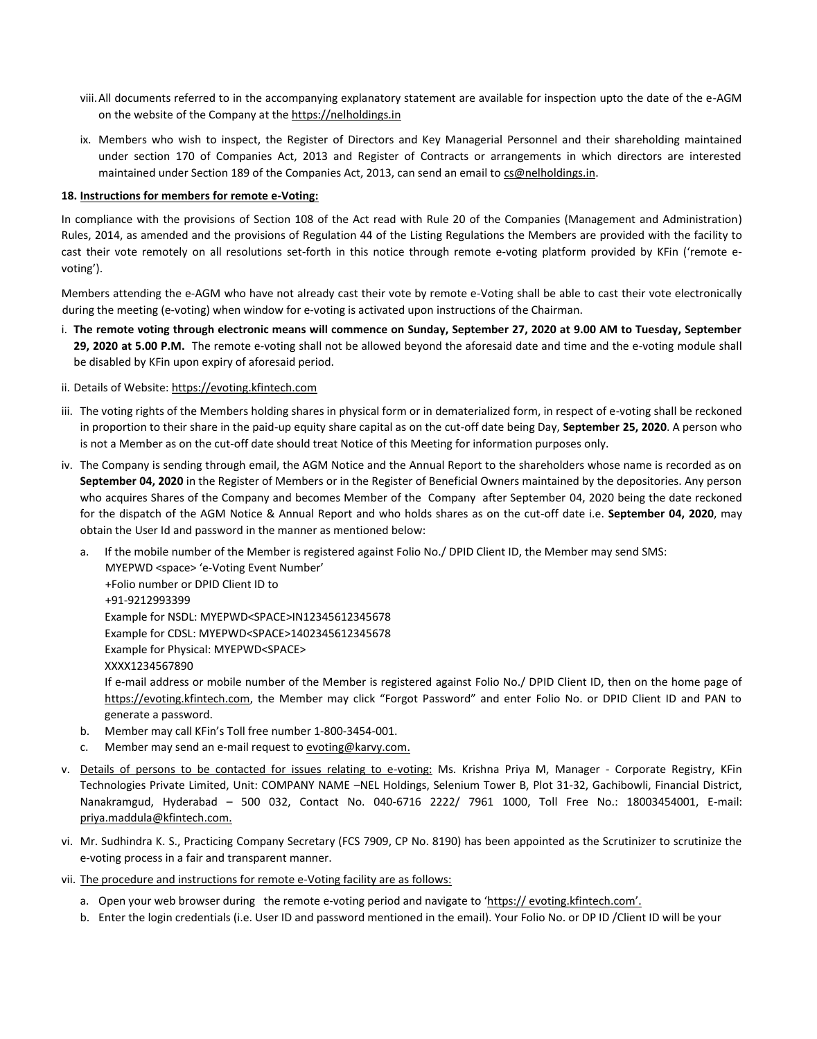- viii.All documents referred to in the accompanying explanatory statement are available for inspection upto the date of the e-AGM on the website of the Company at the https://nelholdings.in
- ix. Members who wish to inspect, the Register of Directors and Key Managerial Personnel and their shareholding maintained under section 170 of Companies Act, 2013 and Register of Contracts or arrangements in which directors are interested maintained under Section 189 of the Companies Act, 2013, can send an email t[o cs@nelholdings.in.](mailto:cs@nelholdings.in)

#### **18. Instructions for members for remote e-Voting:**

In compliance with the provisions of Section 108 of the Act read with Rule 20 of the Companies (Management and Administration) Rules, 2014, as amended and the provisions of Regulation 44 of the Listing Regulations the Members are provided with the facility to cast their vote remotely on all resolutions set-forth in this notice through remote e-voting platform provided by KFin ('remote evoting').

Members attending the e-AGM who have not already cast their vote by remote e-Voting shall be able to cast their vote electronically during the meeting (e-voting) when window for e-voting is activated upon instructions of the Chairman.

- i. **The remote voting through electronic means will commence on Sunday, September 27, 2020 at 9.00 AM to Tuesday, September 29, 2020 at 5.00 P.M.** The remote e-voting shall not be allowed beyond the aforesaid date and time and the e-voting module shall be disabled by KFin upon expiry of aforesaid period.
- ii. Details of Website: [https://evoting.kfintech.com](https://evoting.kfintech.com/)
- iii. The voting rights of the Members holding shares in physical form or in dematerialized form, in respect of e-voting shall be reckoned in proportion to their share in the paid-up equity share capital as on the cut-off date being Day, **September 25, 2020**. A person who is not a Member as on the cut-off date should treat Notice of this Meeting for information purposes only.
- iv. The Company is sending through email, the AGM Notice and the Annual Report to the shareholders whose name is recorded as on **September 04, 2020** in the Register of Members or in the Register of Beneficial Owners maintained by the depositories. Any person who acquires Shares of the Company and becomes Member of the Company after September 04, 2020 being the date reckoned for the dispatch of the AGM Notice & Annual Report and who holds shares as on the cut-off date i.e. **September 04, 2020**, may obtain the User Id and password in the manner as mentioned below:
	- a. If the mobile number of the Member is registered against Folio No./ DPID Client ID, the Member may send SMS: MYEPWD <space> 'e-Voting Event Number' +Folio number or DPID Client ID to +91-9212993399 Example for NSDL: MYEPWD<SPACE>IN12345612345678 Example for CDSL: MYEPWD<SPACE>1402345612345678 Example for Physical: MYEPWD<SPACE> XXXX1234567890 If e-mail address or mobile number of the Member is registered against Folio No./ DPID Client ID, then on the home page of
		- https://evoting.kfintech.com, the Member may click "Forgot Password" and enter Folio No. or DPID Client ID and PAN to generate a password.
	- b. Member may call KFin's Toll free number 1-800-3454-001.
	- Member may send an e-mail request to [evoting@karvy.com.](mailto:evoting@karvy.com)
- v. Details of persons to be contacted for issues relating to e-voting: Ms. Krishna Priya M, Manager Corporate Registry, KFin Technologies Private Limited, Unit: COMPANY NAME –NEL Holdings, Selenium Tower B, Plot 31-32, Gachibowli, Financial District, Nanakramgud, Hyderabad – 500 032, Contact No. 040-6716 2222/ 7961 1000, Toll Free No.: 18003454001, E-mail: priya.maddula@kfintech.com.
- vi. Mr. Sudhindra K. S., Practicing Company Secretary (FCS 7909, CP No. 8190) has been appointed as the Scrutinizer to scrutinize the e-voting process in a fair and transparent manner.
- vii. The procedure and instructions for remote e-Voting facility are as follows:
	- a. Open your web browser during the remote e-voting period and navigate to 'https:// evoting.kfintech.com'.
	- b. Enter the login credentials (i.e. User ID and password mentioned in the email). Your Folio No. or DP ID /Client ID will be your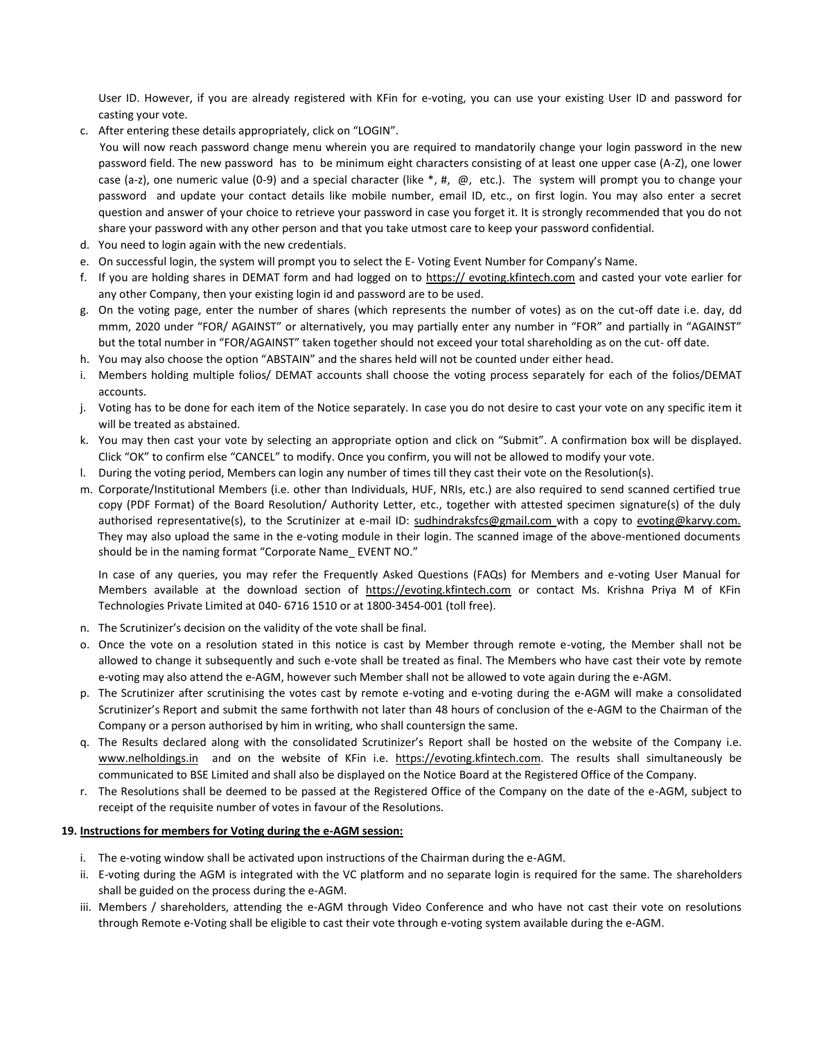User ID. However, if you are already registered with KFin for e-voting, you can use your existing User ID and password for casting your vote.

c. After entering these details appropriately, click on "LOGIN".

 You will now reach password change menu wherein you are required to mandatorily change your login password in the new password field. The new password has to be minimum eight characters consisting of at least one upper case (A-Z), one lower case (a-z), one numeric value (0-9) and a special character (like  $*, #, @$ , etc.). The system will prompt you to change your password and update your contact details like mobile number, email ID, etc., on first login. You may also enter a secret question and answer of your choice to retrieve your password in case you forget it. It is strongly recommended that you do not share your password with any other person and that you take utmost care to keep your password confidential.

- d. You need to login again with the new credentials.
- e. On successful login, the system will prompt you to select the E- Voting Event Number for Company's Name.
- f. If you are holding shares in DEMAT form and had logged on to https:// evoting.kfintech.com and casted your vote earlier for any other Company, then your existing login id and password are to be used.
- g. On the voting page, enter the number of shares (which represents the number of votes) as on the cut-off date i.e. day, dd mmm, 2020 under "FOR/ AGAINST" or alternatively, you may partially enter any number in "FOR" and partially in "AGAINST" but the total number in "FOR/AGAINST" taken together should not exceed your total shareholding as on the cut- off date.
- h. You may also choose the option "ABSTAIN" and the shares held will not be counted under either head.
- i. Members holding multiple folios/ DEMAT accounts shall choose the voting process separately for each of the folios/DEMAT accounts.
- j. Voting has to be done for each item of the Notice separately. In case you do not desire to cast your vote on any specific item it will be treated as abstained.
- k. You may then cast your vote by selecting an appropriate option and click on "Submit". A confirmation box will be displayed. Click "OK" to confirm else "CANCEL" to modify. Once you confirm, you will not be allowed to modify your vote.
- l. During the voting period, Members can login any number of times till they cast their vote on the Resolution(s).
- m. Corporate/Institutional Members (i.e. other than Individuals, HUF, NRIs, etc.) are also required to send scanned certified true copy (PDF Format) of the Board Resolution/ Authority Letter, etc., together with attested specimen signature(s) of the duly authorised representative(s), to the Scrutinizer at e-mail ID: [sudhindraksfcs@gmail.com](mailto:sudhindraksfcs@gmail.com) with a copy to evoting@karvy.com. They may also upload the same in the e-voting module in their login. The scanned image of the above-mentioned documents should be in the naming format "Corporate Name\_ EVENT NO."

In case of any queries, you may refer the Frequently Asked Questions (FAQs) for Members and e-voting User Manual for Members available at the download section of https://evoting.kfintech.com or contact Ms. Krishna Priya M of KFin Technologies Private Limited at 040- 6716 1510 or at 1800-3454-001 (toll free).

- n. The Scrutinizer's decision on the validity of the vote shall be final.
- o. Once the vote on a resolution stated in this notice is cast by Member through remote e-voting, the Member shall not be allowed to change it subsequently and such e-vote shall be treated as final. The Members who have cast their vote by remote e-voting may also attend the e-AGM, however such Member shall not be allowed to vote again during the e-AGM.
- p. The Scrutinizer after scrutinising the votes cast by remote e-voting and e-voting during the e-AGM will make a consolidated Scrutinizer's Report and submit the same forthwith not later than 48 hours of conclusion of the e-AGM to the Chairman of the Company or a person authorised by him in writing, who shall countersign the same.
- q. The Results declared along with the consolidated Scrutinizer's Report shall be hosted on the website of the Company i.e. [www.nelholdings.in](http://www.nelholdings.in/) and on the website of KFin i.e. https://evoting.kfintech.com. The results shall simultaneously be communicated to BSE Limited and shall also be displayed on the Notice Board at the Registered Office of the Company.
- r. The Resolutions shall be deemed to be passed at the Registered Office of the Company on the date of the e-AGM, subject to receipt of the requisite number of votes in favour of the Resolutions.

#### **19. Instructions for members for Voting during the e-AGM session:**

- i. The e-voting window shall be activated upon instructions of the Chairman during the e-AGM.
- ii. E-voting during the AGM is integrated with the VC platform and no separate login is required for the same. The shareholders shall be guided on the process during the e-AGM.
- iii. Members / shareholders, attending the e-AGM through Video Conference and who have not cast their vote on resolutions through Remote e-Voting shall be eligible to cast their vote through e-voting system available during the e-AGM.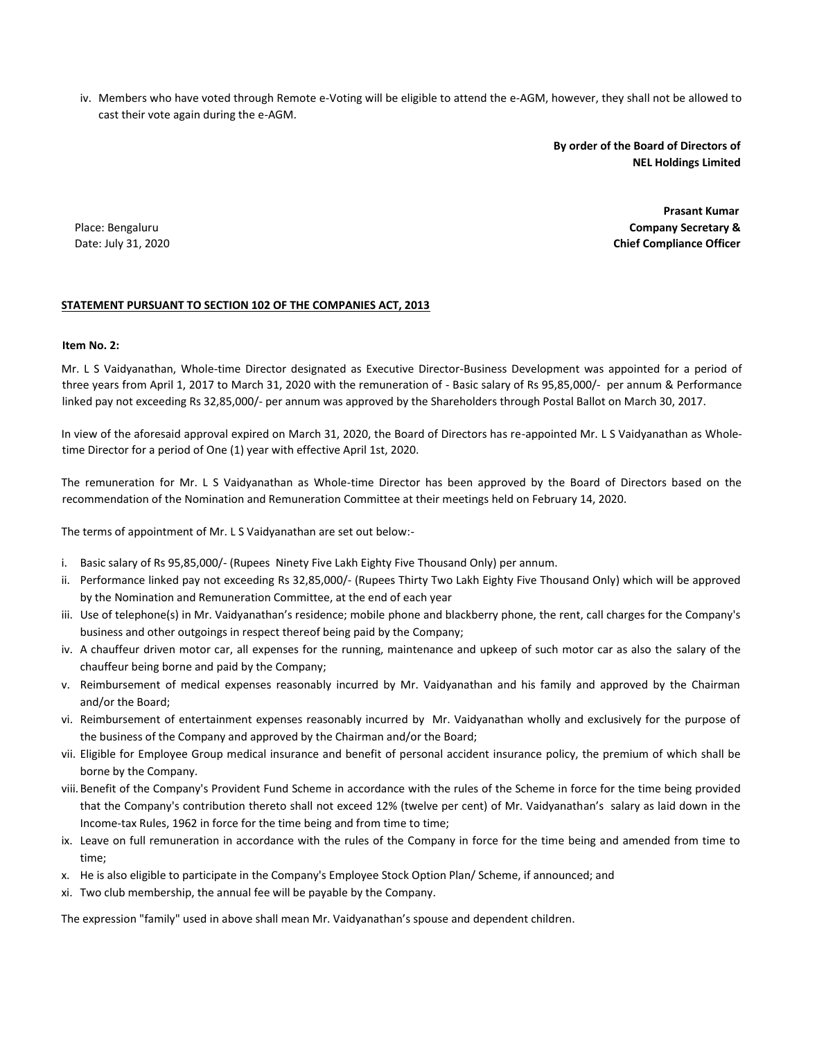iv. Members who have voted through Remote e-Voting will be eligible to attend the e-AGM, however, they shall not be allowed to cast their vote again during the e-AGM.

> **By order of the Board of Directors of NEL Holdings Limited**

Place: Bengaluru Date: July 31, 2020

 **Prasant Kumar Company Secretary & Chief Compliance Officer**

#### **STATEMENT PURSUANT TO SECTION 102 OF THE COMPANIES ACT, 2013**

#### **Item No. 2:**

Mr. L S Vaidyanathan, Whole-time Director designated as Executive Director-Business Development was appointed for a period of three years from April 1, 2017 to March 31, 2020 with the remuneration of - Basic salary of Rs 95,85,000/- per annum & Performance linked pay not exceeding Rs 32,85,000/- per annum was approved by the Shareholders through Postal Ballot on March 30, 2017.

In view of the aforesaid approval expired on March 31, 2020, the Board of Directors has re-appointed Mr. L S Vaidyanathan as Wholetime Director for a period of One (1) year with effective April 1st, 2020.

The remuneration for Mr. L S Vaidyanathan as Whole-time Director has been approved by the Board of Directors based on the recommendation of the Nomination and Remuneration Committee at their meetings held on February 14, 2020.

The terms of appointment of Mr. L S Vaidyanathan are set out below:-

- i. Basic salary of Rs 95,85,000/- (Rupees Ninety Five Lakh Eighty Five Thousand Only) per annum.
- ii. Performance linked pay not exceeding Rs 32,85,000/- (Rupees Thirty Two Lakh Eighty Five Thousand Only) which will be approved by the Nomination and Remuneration Committee, at the end of each year
- iii. Use of telephone(s) in Mr. Vaidyanathan's residence; mobile phone and blackberry phone, the rent, call charges for the Company's business and other outgoings in respect thereof being paid by the Company;
- iv. A chauffeur driven motor car, all expenses for the running, maintenance and upkeep of such motor car as also the salary of the chauffeur being borne and paid by the Company;
- v. Reimbursement of medical expenses reasonably incurred by Mr. Vaidyanathan and his family and approved by the Chairman and/or the Board;
- vi. Reimbursement of entertainment expenses reasonably incurred by Mr. Vaidyanathan wholly and exclusively for the purpose of the business of the Company and approved by the Chairman and/or the Board;
- vii. Eligible for Employee Group medical insurance and benefit of personal accident insurance policy, the premium of which shall be borne by the Company.
- viii.Benefit of the Company's Provident Fund Scheme in accordance with the rules of the Scheme in force for the time being provided that the Company's contribution thereto shall not exceed 12% (twelve per cent) of Mr. Vaidyanathan's salary as laid down in the Income-tax Rules, 1962 in force for the time being and from time to time;
- ix. Leave on full remuneration in accordance with the rules of the Company in force for the time being and amended from time to time;
- x. He is also eligible to participate in the Company's Employee Stock Option Plan/ Scheme, if announced; and
- xi. Two club membership, the annual fee will be payable by the Company.

The expression "family" used in above shall mean Mr. Vaidyanathan's spouse and dependent children.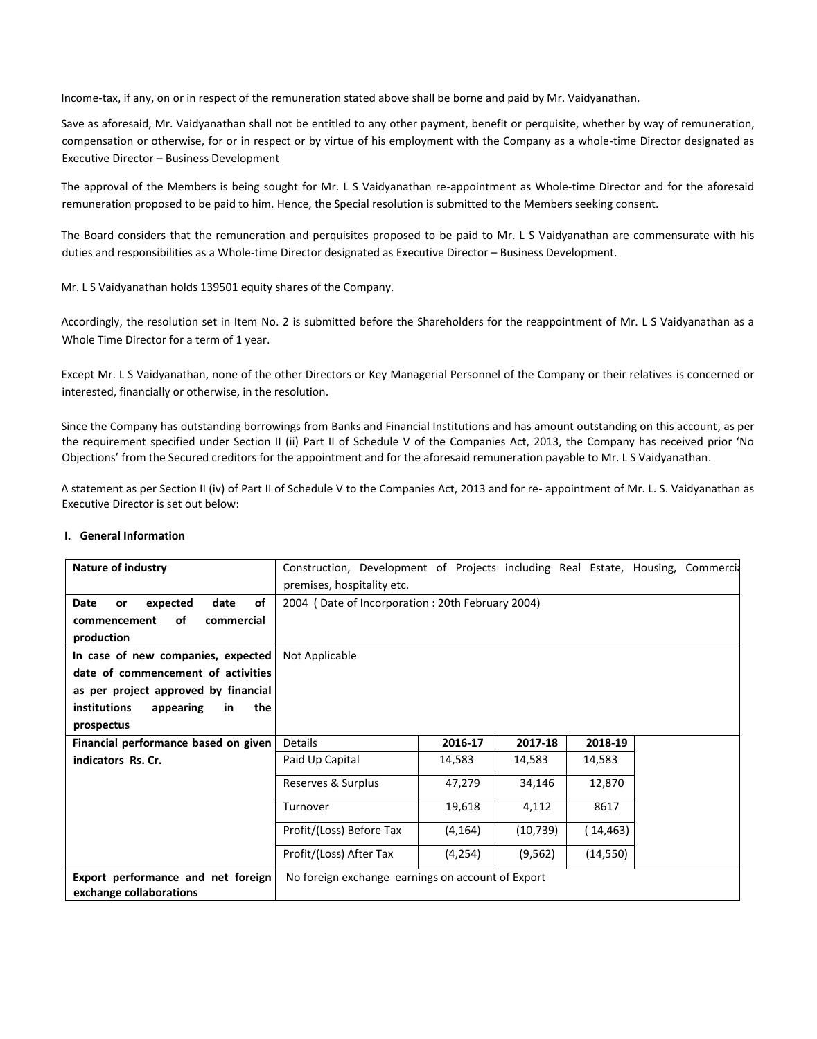Income-tax, if any, on or in respect of the remuneration stated above shall be borne and paid by Mr. Vaidyanathan.

Save as aforesaid, Mr. Vaidyanathan shall not be entitled to any other payment, benefit or perquisite, whether by way of remuneration, compensation or otherwise, for or in respect or by virtue of his employment with the Company as a whole-time Director designated as Executive Director – Business Development

The approval of the Members is being sought for Mr. L S Vaidyanathan re-appointment as Whole-time Director and for the aforesaid remuneration proposed to be paid to him. Hence, the Special resolution is submitted to the Members seeking consent.

The Board considers that the remuneration and perquisites proposed to be paid to Mr. L S Vaidyanathan are commensurate with his duties and responsibilities as a Whole-time Director designated as Executive Director – Business Development.

Mr. L S Vaidyanathan holds 139501 equity shares of the Company.

Accordingly, the resolution set in Item No. 2 is submitted before the Shareholders for the reappointment of Mr. L S Vaidyanathan as a Whole Time Director for a term of 1 year.

Except Mr. L S Vaidyanathan, none of the other Directors or Key Managerial Personnel of the Company or their relatives is concerned or interested, financially or otherwise, in the resolution.

Since the Company has outstanding borrowings from Banks and Financial Institutions and has amount outstanding on this account, as per the requirement specified under Section II (ii) Part II of Schedule V of the Companies Act, 2013, the Company has received prior 'No Objections' from the Secured creditors for the appointment and for the aforesaid remuneration payable to Mr. L S Vaidyanathan.

A statement as per Section II (iv) of Part II of Schedule V to the Companies Act, 2013 and for re- appointment of Mr. L. S. Vaidyanathan as Executive Director is set out below:

#### **I. General Information**

| <b>Nature of industry</b>                                     | Construction, Development of Projects including Real Estate, Housing, Commercia |                                                  |           |           |  |
|---------------------------------------------------------------|---------------------------------------------------------------------------------|--------------------------------------------------|-----------|-----------|--|
|                                                               | premises, hospitality etc.                                                      |                                                  |           |           |  |
| of<br>date<br>expected<br>Date<br>or                          |                                                                                 | 2004 (Date of Incorporation: 20th February 2004) |           |           |  |
| оf<br>commercial<br>commencement                              |                                                                                 |                                                  |           |           |  |
| production                                                    |                                                                                 |                                                  |           |           |  |
| In case of new companies, expected                            | Not Applicable                                                                  |                                                  |           |           |  |
| date of commencement of activities                            |                                                                                 |                                                  |           |           |  |
| as per project approved by financial                          |                                                                                 |                                                  |           |           |  |
| the<br><i>institutions</i><br>appearing<br>in                 |                                                                                 |                                                  |           |           |  |
| prospectus                                                    |                                                                                 |                                                  |           |           |  |
| Financial performance based on given                          | Details                                                                         | 2016-17                                          | 2017-18   | 2018-19   |  |
| indicators Rs. Cr.                                            | Paid Up Capital                                                                 | 14,583                                           | 14,583    | 14,583    |  |
|                                                               | Reserves & Surplus                                                              | 47,279                                           | 34,146    | 12,870    |  |
|                                                               | Turnover                                                                        | 19,618                                           | 4,112     | 8617      |  |
|                                                               | Profit/(Loss) Before Tax                                                        | (4, 164)                                         | (10, 739) | (14,463)  |  |
|                                                               | Profit/(Loss) After Tax                                                         | (4, 254)                                         | (9, 562)  | (14, 550) |  |
| Export performance and net foreign<br>exchange collaborations | No foreign exchange earnings on account of Export                               |                                                  |           |           |  |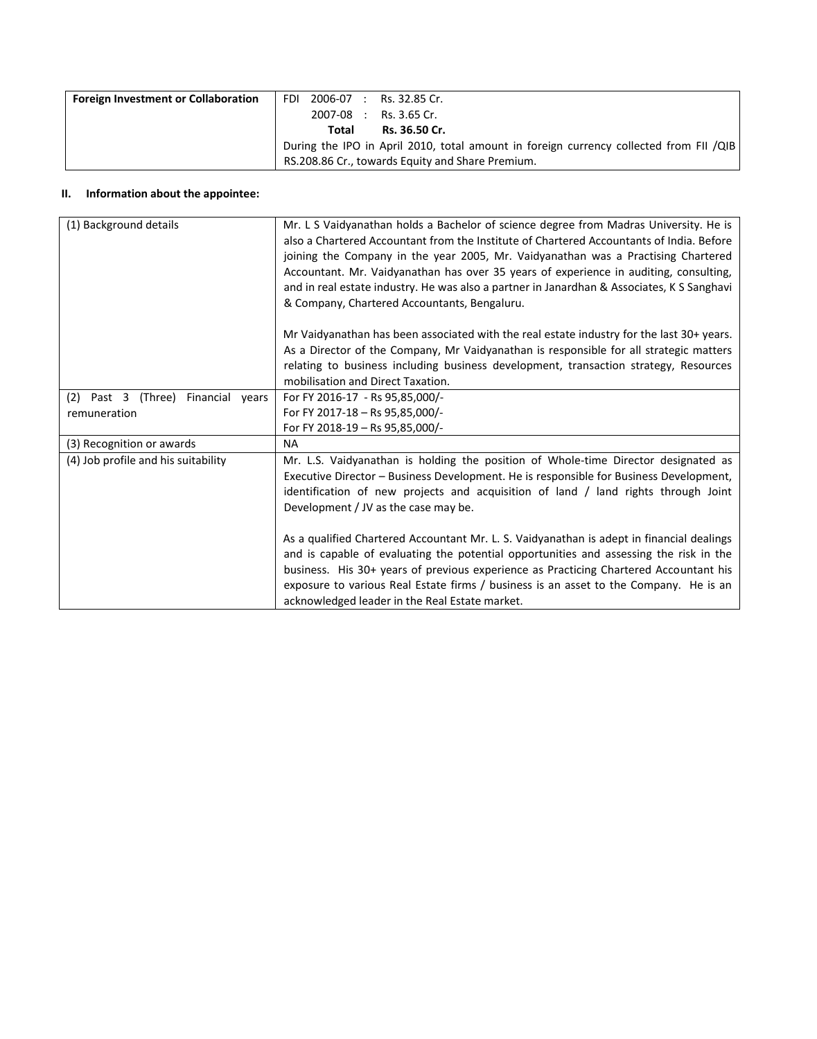| <b>Foreign Investment or Collaboration</b> | FDI 2006-07 : Rs. 32.85 Cr.                                                            |                          |
|--------------------------------------------|----------------------------------------------------------------------------------------|--------------------------|
|                                            |                                                                                        | $2007-08$ : Rs. 3.65 Cr. |
|                                            | Total                                                                                  | Rs. 36.50 Cr.            |
|                                            | During the IPO in April 2010, total amount in foreign currency collected from FII /QIB |                          |
|                                            | RS.208.86 Cr., towards Equity and Share Premium.                                       |                          |

#### **II. Information about the appointee:**

| (1) Background details                | Mr. L S Vaidyanathan holds a Bachelor of science degree from Madras University. He is<br>also a Chartered Accountant from the Institute of Chartered Accountants of India. Before<br>joining the Company in the year 2005, Mr. Vaidyanathan was a Practising Chartered<br>Accountant. Mr. Vaidyanathan has over 35 years of experience in auditing, consulting,<br>and in real estate industry. He was also a partner in Janardhan & Associates, K S Sanghavi<br>& Company, Chartered Accountants, Bengaluru. |
|---------------------------------------|---------------------------------------------------------------------------------------------------------------------------------------------------------------------------------------------------------------------------------------------------------------------------------------------------------------------------------------------------------------------------------------------------------------------------------------------------------------------------------------------------------------|
|                                       | Mr Vaidyanathan has been associated with the real estate industry for the last 30+ years.                                                                                                                                                                                                                                                                                                                                                                                                                     |
|                                       | As a Director of the Company, Mr Vaidyanathan is responsible for all strategic matters                                                                                                                                                                                                                                                                                                                                                                                                                        |
|                                       | relating to business including business development, transaction strategy, Resources                                                                                                                                                                                                                                                                                                                                                                                                                          |
|                                       | mobilisation and Direct Taxation.                                                                                                                                                                                                                                                                                                                                                                                                                                                                             |
| Past 3 (Three) Financial years<br>(2) | For FY 2016-17 - Rs 95,85,000/-                                                                                                                                                                                                                                                                                                                                                                                                                                                                               |
| remuneration                          | For FY 2017-18 - Rs 95,85,000/-                                                                                                                                                                                                                                                                                                                                                                                                                                                                               |
|                                       | For FY 2018-19 - Rs 95,85,000/-                                                                                                                                                                                                                                                                                                                                                                                                                                                                               |
| (3) Recognition or awards             | <b>NA</b>                                                                                                                                                                                                                                                                                                                                                                                                                                                                                                     |
| (4) Job profile and his suitability   | Mr. L.S. Vaidyanathan is holding the position of Whole-time Director designated as<br>Executive Director - Business Development. He is responsible for Business Development,<br>identification of new projects and acquisition of land / land rights through Joint<br>Development / JV as the case may be.                                                                                                                                                                                                    |
|                                       | As a qualified Chartered Accountant Mr. L. S. Vaidyanathan is adept in financial dealings<br>and is capable of evaluating the potential opportunities and assessing the risk in the<br>business. His 30+ years of previous experience as Practicing Chartered Accountant his<br>exposure to various Real Estate firms / business is an asset to the Company. He is an<br>acknowledged leader in the Real Estate market.                                                                                       |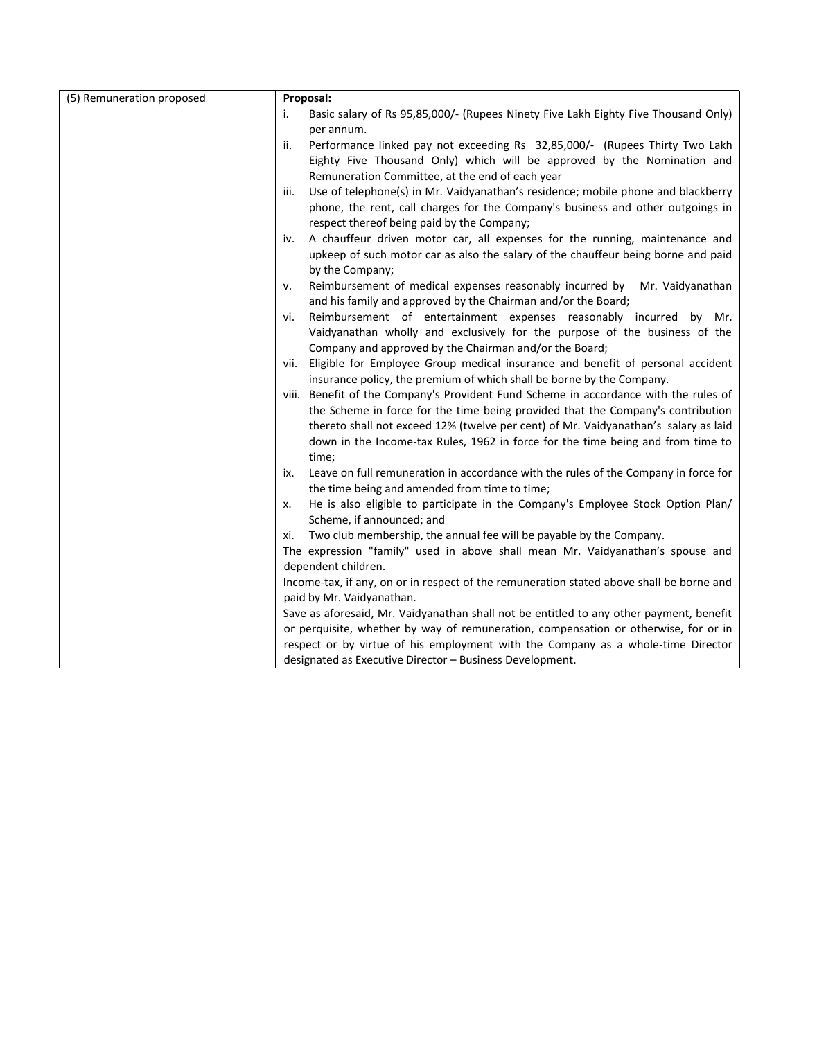| (5) Remuneration proposed | Proposal:                                                                                                                                                                                                   |  |  |
|---------------------------|-------------------------------------------------------------------------------------------------------------------------------------------------------------------------------------------------------------|--|--|
|                           | Basic salary of Rs 95,85,000/- (Rupees Ninety Five Lakh Eighty Five Thousand Only)<br>i.                                                                                                                    |  |  |
|                           | per annum.                                                                                                                                                                                                  |  |  |
|                           | Performance linked pay not exceeding Rs 32,85,000/- (Rupees Thirty Two Lakh<br>ii.                                                                                                                          |  |  |
|                           | Eighty Five Thousand Only) which will be approved by the Nomination and                                                                                                                                     |  |  |
|                           | Remuneration Committee, at the end of each year                                                                                                                                                             |  |  |
|                           | Use of telephone(s) in Mr. Vaidyanathan's residence; mobile phone and blackberry<br>iii.                                                                                                                    |  |  |
|                           | phone, the rent, call charges for the Company's business and other outgoings in                                                                                                                             |  |  |
|                           | respect thereof being paid by the Company;                                                                                                                                                                  |  |  |
|                           | A chauffeur driven motor car, all expenses for the running, maintenance and<br>iv.                                                                                                                          |  |  |
|                           | upkeep of such motor car as also the salary of the chauffeur being borne and paid                                                                                                                           |  |  |
|                           | by the Company;                                                                                                                                                                                             |  |  |
|                           | Reimbursement of medical expenses reasonably incurred by<br>Mr. Vaidyanathan<br>ν.                                                                                                                          |  |  |
|                           | and his family and approved by the Chairman and/or the Board;                                                                                                                                               |  |  |
|                           | Reimbursement of entertainment expenses reasonably incurred by Mr.<br>vi.                                                                                                                                   |  |  |
|                           | Vaidyanathan wholly and exclusively for the purpose of the business of the                                                                                                                                  |  |  |
|                           | Company and approved by the Chairman and/or the Board;                                                                                                                                                      |  |  |
|                           | vii. Eligible for Employee Group medical insurance and benefit of personal accident                                                                                                                         |  |  |
|                           | insurance policy, the premium of which shall be borne by the Company.                                                                                                                                       |  |  |
|                           | viii. Benefit of the Company's Provident Fund Scheme in accordance with the rules of                                                                                                                        |  |  |
|                           | the Scheme in force for the time being provided that the Company's contribution                                                                                                                             |  |  |
|                           | thereto shall not exceed 12% (twelve per cent) of Mr. Vaidyanathan's salary as laid                                                                                                                         |  |  |
|                           | down in the Income-tax Rules, 1962 in force for the time being and from time to                                                                                                                             |  |  |
|                           | time;                                                                                                                                                                                                       |  |  |
|                           | Leave on full remuneration in accordance with the rules of the Company in force for<br>ix.                                                                                                                  |  |  |
|                           | the time being and amended from time to time;                                                                                                                                                               |  |  |
|                           | He is also eligible to participate in the Company's Employee Stock Option Plan/<br>x.                                                                                                                       |  |  |
|                           | Scheme, if announced; and                                                                                                                                                                                   |  |  |
|                           | Two club membership, the annual fee will be payable by the Company.<br>xi.                                                                                                                                  |  |  |
|                           | The expression "family" used in above shall mean Mr. Vaidyanathan's spouse and                                                                                                                              |  |  |
|                           | dependent children.                                                                                                                                                                                         |  |  |
|                           | Income-tax, if any, on or in respect of the remuneration stated above shall be borne and                                                                                                                    |  |  |
|                           | paid by Mr. Vaidyanathan.<br>Save as aforesaid, Mr. Vaidyanathan shall not be entitled to any other payment, benefit<br>or perquisite, whether by way of remuneration, compensation or otherwise, for or in |  |  |
|                           |                                                                                                                                                                                                             |  |  |
|                           |                                                                                                                                                                                                             |  |  |
|                           | respect or by virtue of his employment with the Company as a whole-time Director                                                                                                                            |  |  |
|                           | designated as Executive Director - Business Development.                                                                                                                                                    |  |  |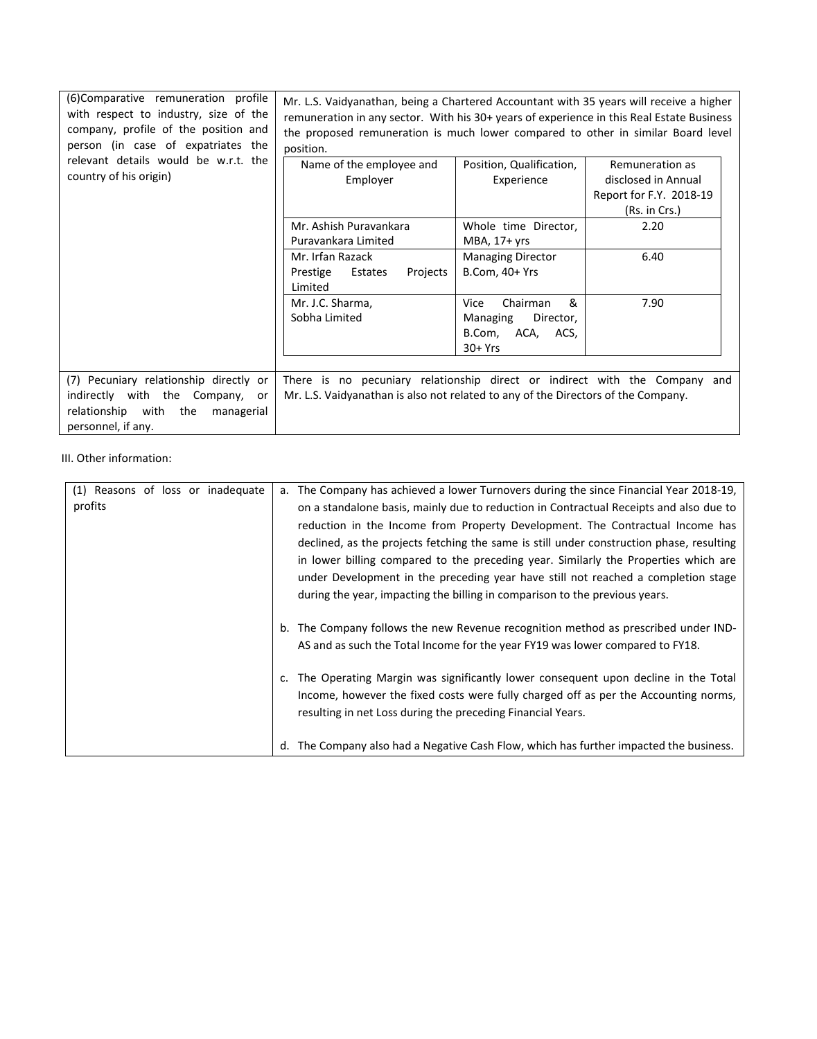| (6) Comparative remuneration profile<br>with respect to industry, size of the<br>company, profile of the position and<br>person (in case of expatriates the | Mr. L.S. Vaidyanathan, being a Chartered Accountant with 35 years will receive a higher<br>remuneration in any sector. With his 30+ years of experience in this Real Estate Business<br>the proposed remuneration is much lower compared to other in similar Board level<br>position. |                                                                                      |                                                |
|-------------------------------------------------------------------------------------------------------------------------------------------------------------|---------------------------------------------------------------------------------------------------------------------------------------------------------------------------------------------------------------------------------------------------------------------------------------|--------------------------------------------------------------------------------------|------------------------------------------------|
| relevant details would be w.r.t. the<br>country of his origin)                                                                                              | Name of the employee and                                                                                                                                                                                                                                                              | Position, Qualification,                                                             | Remuneration as                                |
|                                                                                                                                                             | Employer                                                                                                                                                                                                                                                                              | Experience                                                                           | disclosed in Annual<br>Report for F.Y. 2018-19 |
|                                                                                                                                                             |                                                                                                                                                                                                                                                                                       |                                                                                      | (Rs. in Crs.)                                  |
|                                                                                                                                                             | Mr. Ashish Puravankara<br>Puravankara Limited                                                                                                                                                                                                                                         | Whole time Director,<br>MBA, 17+ yrs                                                 | 2.20                                           |
|                                                                                                                                                             | Mr. Irfan Razack<br>Prestige<br>Estates<br>Projects<br>Limited                                                                                                                                                                                                                        | <b>Managing Director</b><br>B.Com, 40+ Yrs                                           | 6.40                                           |
|                                                                                                                                                             | Mr. J.C. Sharma,<br>Sobha Limited                                                                                                                                                                                                                                                     | &<br>Vice<br>Chairman<br>Managing<br>Director,<br>B.Com,<br>ACA,<br>ACS,<br>$30+Yrs$ | 7.90                                           |
| (7) Pecuniary relationship directly or<br>indirectly with the Company, or<br>with the<br>relationship<br>managerial<br>personnel, if any.                   | There is no pecuniary relationship direct or indirect with the Company and<br>Mr. L.S. Vaidyanathan is also not related to any of the Directors of the Company.                                                                                                                       |                                                                                      |                                                |

## III. Other information:

| (1) Reasons of loss or inadequate | a. The Company has achieved a lower Turnovers during the since Financial Year 2018-19,   |
|-----------------------------------|------------------------------------------------------------------------------------------|
| profits                           | on a standalone basis, mainly due to reduction in Contractual Receipts and also due to   |
|                                   | reduction in the Income from Property Development. The Contractual Income has            |
|                                   | declined, as the projects fetching the same is still under construction phase, resulting |
|                                   | in lower billing compared to the preceding year. Similarly the Properties which are      |
|                                   | under Development in the preceding year have still not reached a completion stage        |
|                                   | during the year, impacting the billing in comparison to the previous years.              |
|                                   |                                                                                          |
|                                   | b. The Company follows the new Revenue recognition method as prescribed under IND-       |
|                                   | AS and as such the Total Income for the year FY19 was lower compared to FY18.            |
|                                   |                                                                                          |
|                                   | c. The Operating Margin was significantly lower consequent upon decline in the Total     |
|                                   | Income, however the fixed costs were fully charged off as per the Accounting norms,      |
|                                   |                                                                                          |
|                                   | resulting in net Loss during the preceding Financial Years.                              |
|                                   |                                                                                          |
|                                   | d. The Company also had a Negative Cash Flow, which has further impacted the business.   |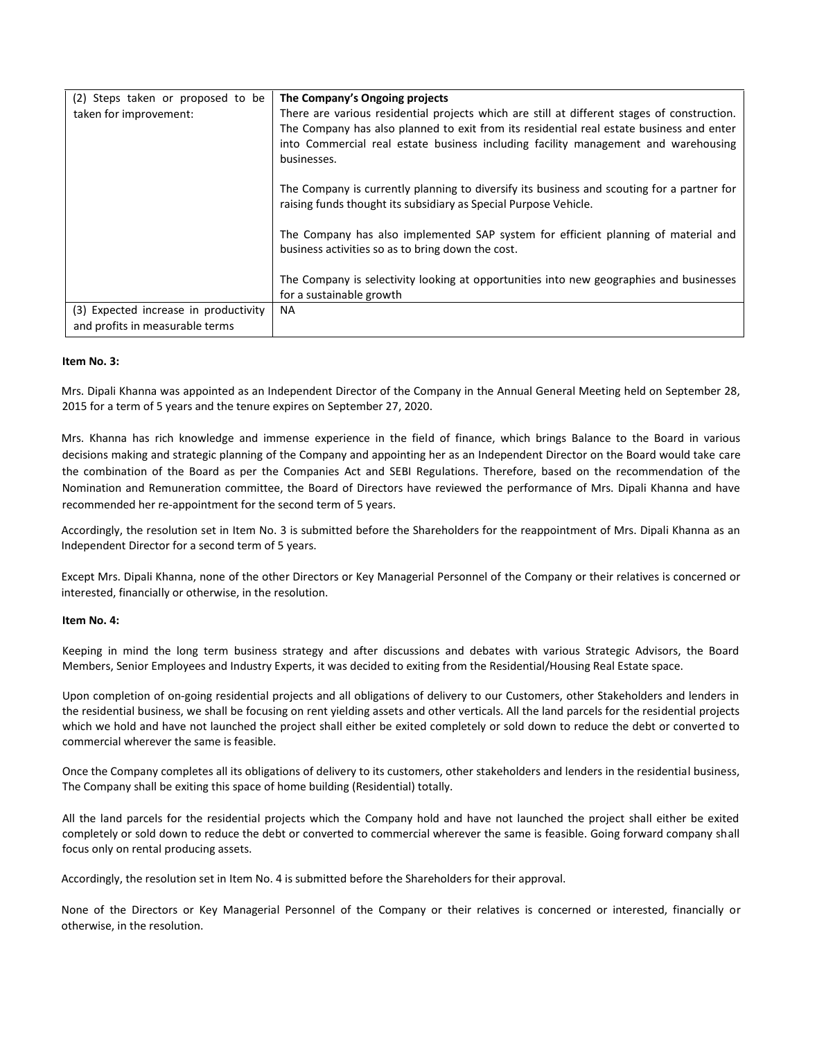| (2) Steps taken or proposed to be     | The Company's Ongoing projects                                                                                                                                 |
|---------------------------------------|----------------------------------------------------------------------------------------------------------------------------------------------------------------|
| taken for improvement:                | There are various residential projects which are still at different stages of construction.                                                                    |
|                                       | The Company has also planned to exit from its residential real estate business and enter                                                                       |
|                                       | into Commercial real estate business including facility management and warehousing                                                                             |
|                                       | businesses.                                                                                                                                                    |
|                                       |                                                                                                                                                                |
|                                       | The Company is currently planning to diversify its business and scouting for a partner for<br>raising funds thought its subsidiary as Special Purpose Vehicle. |
|                                       |                                                                                                                                                                |
|                                       | The Company has also implemented SAP system for efficient planning of material and                                                                             |
|                                       | business activities so as to bring down the cost.                                                                                                              |
|                                       |                                                                                                                                                                |
|                                       | The Company is selectivity looking at opportunities into new geographies and businesses                                                                        |
|                                       | for a sustainable growth                                                                                                                                       |
| (3) Expected increase in productivity | <b>NA</b>                                                                                                                                                      |
| and profits in measurable terms       |                                                                                                                                                                |

#### **Item No. 3:**

Mrs. Dipali Khanna was appointed as an Independent Director of the Company in the Annual General Meeting held on September 28, 2015 for a term of 5 years and the tenure expires on September 27, 2020.

Mrs. Khanna has rich knowledge and immense experience in the field of finance, which brings Balance to the Board in various decisions making and strategic planning of the Company and appointing her as an Independent Director on the Board would take care the combination of the Board as per the Companies Act and SEBI Regulations. Therefore, based on the recommendation of the Nomination and Remuneration committee, the Board of Directors have reviewed the performance of Mrs. Dipali Khanna and have recommended her re-appointment for the second term of 5 years.

Accordingly, the resolution set in Item No. 3 is submitted before the Shareholders for the reappointment of Mrs. Dipali Khanna as an Independent Director for a second term of 5 years.

Except Mrs. Dipali Khanna, none of the other Directors or Key Managerial Personnel of the Company or their relatives is concerned or interested, financially or otherwise, in the resolution.

#### **Item No. 4:**

Keeping in mind the long term business strategy and after discussions and debates with various Strategic Advisors, the Board Members, Senior Employees and Industry Experts, it was decided to exiting from the Residential/Housing Real Estate space.

Upon completion of on-going residential projects and all obligations of delivery to our Customers, other Stakeholders and lenders in the residential business, we shall be focusing on rent yielding assets and other verticals. All the land parcels for the residential projects which we hold and have not launched the project shall either be exited completely or sold down to reduce the debt or converted to commercial wherever the same is feasible.

Once the Company completes all its obligations of delivery to its customers, other stakeholders and lenders in the residential business, The Company shall be exiting this space of home building (Residential) totally.

All the land parcels for the residential projects which the Company hold and have not launched the project shall either be exited completely or sold down to reduce the debt or converted to commercial wherever the same is feasible. Going forward company shall focus only on rental producing assets.

Accordingly, the resolution set in Item No. 4 is submitted before the Shareholders for their approval.

None of the Directors or Key Managerial Personnel of the Company or their relatives is concerned or interested, financially or otherwise, in the resolution.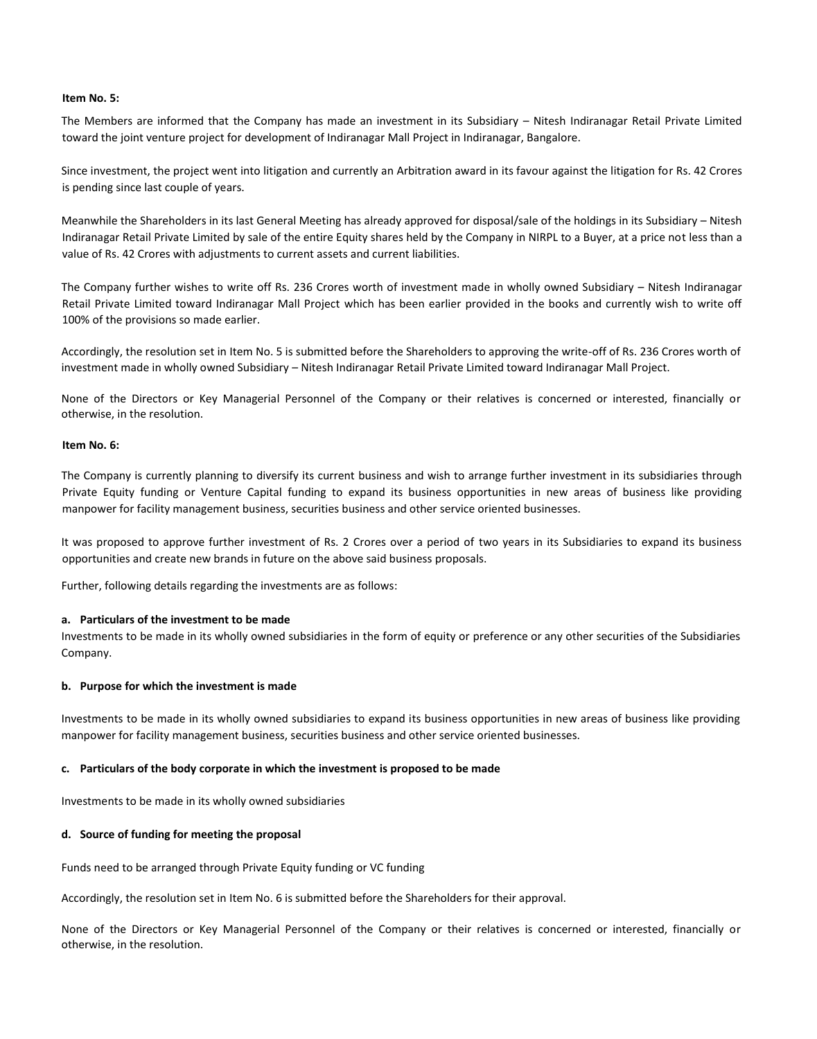#### **Item No. 5:**

The Members are informed that the Company has made an investment in its Subsidiary – Nitesh Indiranagar Retail Private Limited toward the joint venture project for development of Indiranagar Mall Project in Indiranagar, Bangalore.

Since investment, the project went into litigation and currently an Arbitration award in its favour against the litigation for Rs. 42 Crores is pending since last couple of years.

Meanwhile the Shareholders in its last General Meeting has already approved for disposal/sale of the holdings in its Subsidiary – Nitesh Indiranagar Retail Private Limited by sale of the entire Equity shares held by the Company in NIRPL to a Buyer, at a price not less than a value of Rs. 42 Crores with adjustments to current assets and current liabilities.

The Company further wishes to write off Rs. 236 Crores worth of investment made in wholly owned Subsidiary – Nitesh Indiranagar Retail Private Limited toward Indiranagar Mall Project which has been earlier provided in the books and currently wish to write off 100% of the provisions so made earlier.

Accordingly, the resolution set in Item No. 5 is submitted before the Shareholders to approving the write-off of Rs. 236 Crores worth of investment made in wholly owned Subsidiary – Nitesh Indiranagar Retail Private Limited toward Indiranagar Mall Project.

None of the Directors or Key Managerial Personnel of the Company or their relatives is concerned or interested, financially or otherwise, in the resolution.

#### **Item No. 6:**

The Company is currently planning to diversify its current business and wish to arrange further investment in its subsidiaries through Private Equity funding or Venture Capital funding to expand its business opportunities in new areas of business like providing manpower for facility management business, securities business and other service oriented businesses.

It was proposed to approve further investment of Rs. 2 Crores over a period of two years in its Subsidiaries to expand its business opportunities and create new brands in future on the above said business proposals.

Further, following details regarding the investments are as follows:

#### **a. Particulars of the investment to be made**

Investments to be made in its wholly owned subsidiaries in the form of equity or preference or any other securities of the Subsidiaries Company.

#### **b. Purpose for which the investment is made**

Investments to be made in its wholly owned subsidiaries to expand its business opportunities in new areas of business like providing manpower for facility management business, securities business and other service oriented businesses.

#### **c. Particulars of the body corporate in which the investment is proposed to be made**

Investments to be made in its wholly owned subsidiaries

#### **d. Source of funding for meeting the proposal**

Funds need to be arranged through Private Equity funding or VC funding

Accordingly, the resolution set in Item No. 6 is submitted before the Shareholders for their approval.

None of the Directors or Key Managerial Personnel of the Company or their relatives is concerned or interested, financially or otherwise, in the resolution.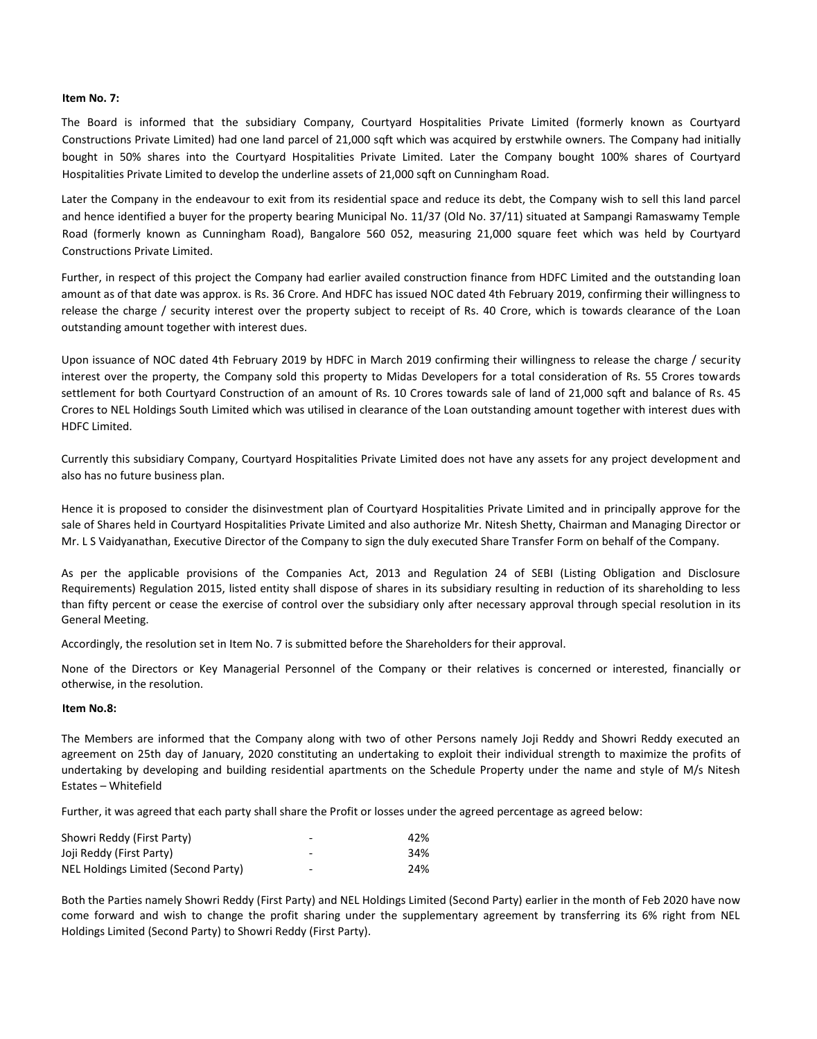#### **Item No. 7:**

The Board is informed that the subsidiary Company, Courtyard Hospitalities Private Limited (formerly known as Courtyard Constructions Private Limited) had one land parcel of 21,000 sqft which was acquired by erstwhile owners. The Company had initially bought in 50% shares into the Courtyard Hospitalities Private Limited. Later the Company bought 100% shares of Courtyard Hospitalities Private Limited to develop the underline assets of 21,000 sqft on Cunningham Road.

Later the Company in the endeavour to exit from its residential space and reduce its debt, the Company wish to sell this land parcel and hence identified a buyer for the property bearing Municipal No. 11/37 (Old No. 37/11) situated at Sampangi Ramaswamy Temple Road (formerly known as Cunningham Road), Bangalore 560 052, measuring 21,000 square feet which was held by Courtyard Constructions Private Limited.

Further, in respect of this project the Company had earlier availed construction finance from HDFC Limited and the outstanding loan amount as of that date was approx. is Rs. 36 Crore. And HDFC has issued NOC dated 4th February 2019, confirming their willingness to release the charge / security interest over the property subject to receipt of Rs. 40 Crore, which is towards clearance of the Loan outstanding amount together with interest dues.

Upon issuance of NOC dated 4th February 2019 by HDFC in March 2019 confirming their willingness to release the charge / security interest over the property, the Company sold this property to Midas Developers for a total consideration of Rs. 55 Crores towards settlement for both Courtyard Construction of an amount of Rs. 10 Crores towards sale of land of 21,000 sqft and balance of Rs. 45 Crores to NEL Holdings South Limited which was utilised in clearance of the Loan outstanding amount together with interest dues with HDFC Limited.

Currently this subsidiary Company, Courtyard Hospitalities Private Limited does not have any assets for any project development and also has no future business plan.

Hence it is proposed to consider the disinvestment plan of Courtyard Hospitalities Private Limited and in principally approve for the sale of Shares held in Courtyard Hospitalities Private Limited and also authorize Mr. Nitesh Shetty, Chairman and Managing Director or Mr. L S Vaidyanathan, Executive Director of the Company to sign the duly executed Share Transfer Form on behalf of the Company.

As per the applicable provisions of the Companies Act, 2013 and Regulation 24 of SEBI (Listing Obligation and Disclosure Requirements) Regulation 2015, listed entity shall dispose of shares in its subsidiary resulting in reduction of its shareholding to less than fifty percent or cease the exercise of control over the subsidiary only after necessary approval through special resolution in its General Meeting.

Accordingly, the resolution set in Item No. 7 is submitted before the Shareholders for their approval.

None of the Directors or Key Managerial Personnel of the Company or their relatives is concerned or interested, financially or otherwise, in the resolution.

#### **Item No.8:**

The Members are informed that the Company along with two of other Persons namely Joji Reddy and Showri Reddy executed an agreement on 25th day of January, 2020 constituting an undertaking to exploit their individual strength to maximize the profits of undertaking by developing and building residential apartments on the Schedule Property under the name and style of M/s Nitesh Estates – Whitefield

Further, it was agreed that each party shall share the Profit or losses under the agreed percentage as agreed below:

| Showri Reddy (First Party)          | -                        | 42% |
|-------------------------------------|--------------------------|-----|
| Joji Reddy (First Party)            | $\overline{\phantom{a}}$ | 34% |
| NEL Holdings Limited (Second Party) | $\overline{\phantom{0}}$ | 24% |

Both the Parties namely Showri Reddy (First Party) and NEL Holdings Limited (Second Party) earlier in the month of Feb 2020 have now come forward and wish to change the profit sharing under the supplementary agreement by transferring its 6% right from NEL Holdings Limited (Second Party) to Showri Reddy (First Party).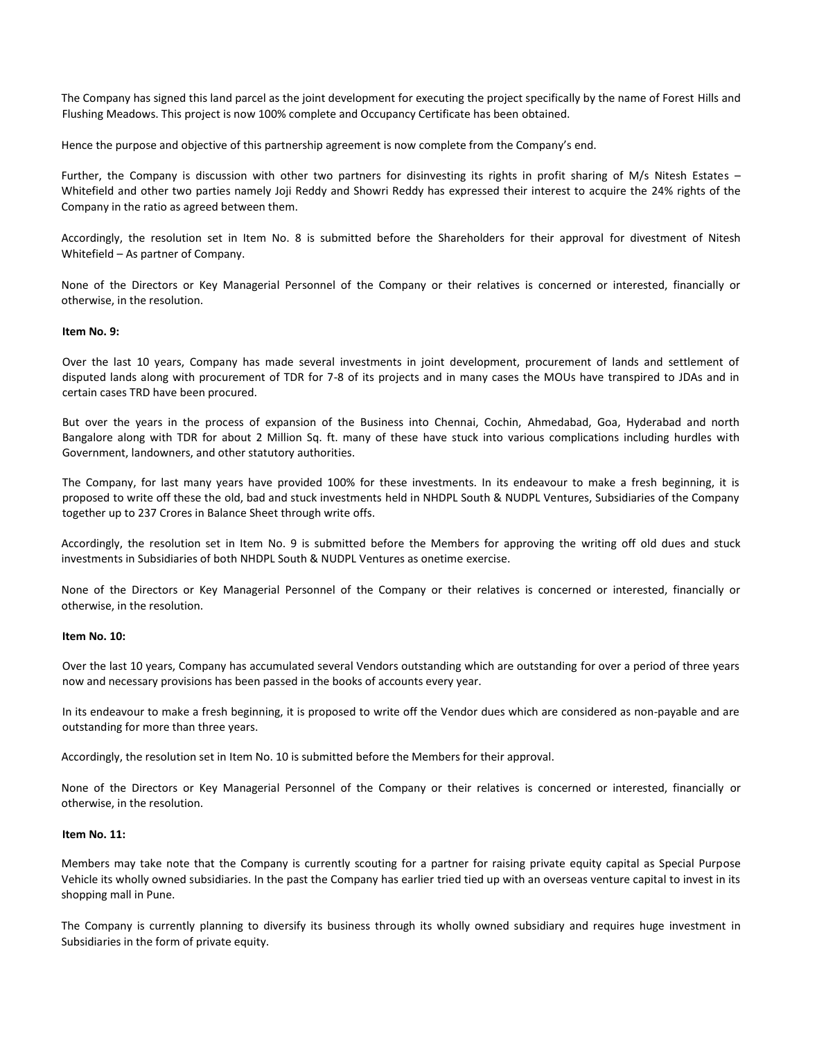The Company has signed this land parcel as the joint development for executing the project specifically by the name of Forest Hills and Flushing Meadows. This project is now 100% complete and Occupancy Certificate has been obtained.

Hence the purpose and objective of this partnership agreement is now complete from the Company's end.

Further, the Company is discussion with other two partners for disinvesting its rights in profit sharing of M/s Nitesh Estates – Whitefield and other two parties namely Joji Reddy and Showri Reddy has expressed their interest to acquire the 24% rights of the Company in the ratio as agreed between them.

Accordingly, the resolution set in Item No. 8 is submitted before the Shareholders for their approval for divestment of Nitesh Whitefield – As partner of Company.

None of the Directors or Key Managerial Personnel of the Company or their relatives is concerned or interested, financially or otherwise, in the resolution.

#### **Item No. 9:**

Over the last 10 years, Company has made several investments in joint development, procurement of lands and settlement of disputed lands along with procurement of TDR for 7-8 of its projects and in many cases the MOUs have transpired to JDAs and in certain cases TRD have been procured.

But over the years in the process of expansion of the Business into Chennai, Cochin, Ahmedabad, Goa, Hyderabad and north Bangalore along with TDR for about 2 Million Sq. ft. many of these have stuck into various complications including hurdles with Government, landowners, and other statutory authorities.

The Company, for last many years have provided 100% for these investments. In its endeavour to make a fresh beginning, it is proposed to write off these the old, bad and stuck investments held in NHDPL South & NUDPL Ventures, Subsidiaries of the Company together up to 237 Crores in Balance Sheet through write offs.

Accordingly, the resolution set in Item No. 9 is submitted before the Members for approving the writing off old dues and stuck investments in Subsidiaries of both NHDPL South & NUDPL Ventures as onetime exercise.

None of the Directors or Key Managerial Personnel of the Company or their relatives is concerned or interested, financially or otherwise, in the resolution.

#### **Item No. 10:**

Over the last 10 years, Company has accumulated several Vendors outstanding which are outstanding for over a period of three years now and necessary provisions has been passed in the books of accounts every year.

In its endeavour to make a fresh beginning, it is proposed to write off the Vendor dues which are considered as non-payable and are outstanding for more than three years.

Accordingly, the resolution set in Item No. 10 is submitted before the Members for their approval.

None of the Directors or Key Managerial Personnel of the Company or their relatives is concerned or interested, financially or otherwise, in the resolution.

#### **Item No. 11:**

Members may take note that the Company is currently scouting for a partner for raising private equity capital as Special Purpose Vehicle its wholly owned subsidiaries. In the past the Company has earlier tried tied up with an overseas venture capital to invest in its shopping mall in Pune.

The Company is currently planning to diversify its business through its wholly owned subsidiary and requires huge investment in Subsidiaries in the form of private equity.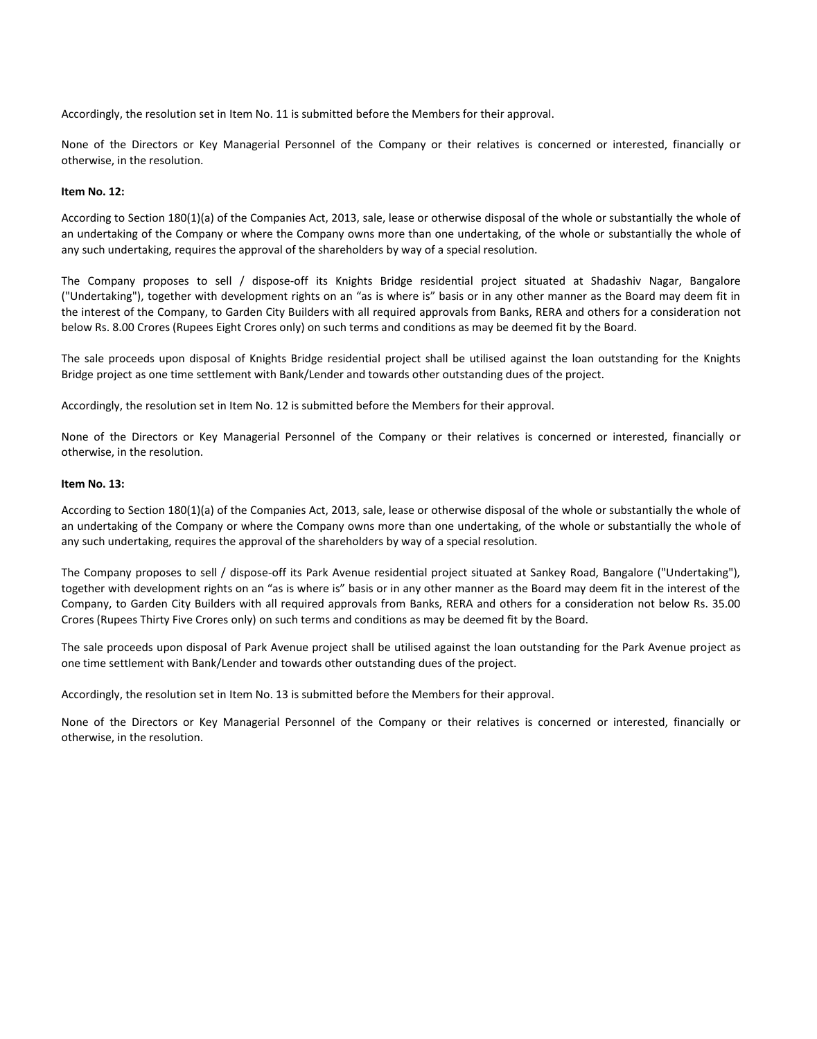Accordingly, the resolution set in Item No. 11 is submitted before the Members for their approval.

None of the Directors or Key Managerial Personnel of the Company or their relatives is concerned or interested, financially or otherwise, in the resolution.

#### **Item No. 12:**

According to Section 180(1)(a) of the Companies Act, 2013, sale, lease or otherwise disposal of the whole or substantially the whole of an undertaking of the Company or where the Company owns more than one undertaking, of the whole or substantially the whole of any such undertaking, requires the approval of the shareholders by way of a special resolution.

The Company proposes to sell / dispose-off its Knights Bridge residential project situated at Shadashiv Nagar, Bangalore ("Undertaking"), together with development rights on an "as is where is" basis or in any other manner as the Board may deem fit in the interest of the Company, to Garden City Builders with all required approvals from Banks, RERA and others for a consideration not below Rs. 8.00 Crores (Rupees Eight Crores only) on such terms and conditions as may be deemed fit by the Board.

The sale proceeds upon disposal of Knights Bridge residential project shall be utilised against the loan outstanding for the Knights Bridge project as one time settlement with Bank/Lender and towards other outstanding dues of the project.

Accordingly, the resolution set in Item No. 12 is submitted before the Members for their approval.

None of the Directors or Key Managerial Personnel of the Company or their relatives is concerned or interested, financially or otherwise, in the resolution.

#### **Item No. 13:**

According to Section 180(1)(a) of the Companies Act, 2013, sale, lease or otherwise disposal of the whole or substantially the whole of an undertaking of the Company or where the Company owns more than one undertaking, of the whole or substantially the whole of any such undertaking, requires the approval of the shareholders by way of a special resolution.

The Company proposes to sell / dispose-off its Park Avenue residential project situated at Sankey Road, Bangalore ("Undertaking"), together with development rights on an "as is where is" basis or in any other manner as the Board may deem fit in the interest of the Company, to Garden City Builders with all required approvals from Banks, RERA and others for a consideration not below Rs. 35.00 Crores (Rupees Thirty Five Crores only) on such terms and conditions as may be deemed fit by the Board.

The sale proceeds upon disposal of Park Avenue project shall be utilised against the loan outstanding for the Park Avenue project as one time settlement with Bank/Lender and towards other outstanding dues of the project.

Accordingly, the resolution set in Item No. 13 is submitted before the Members for their approval.

None of the Directors or Key Managerial Personnel of the Company or their relatives is concerned or interested, financially or otherwise, in the resolution.